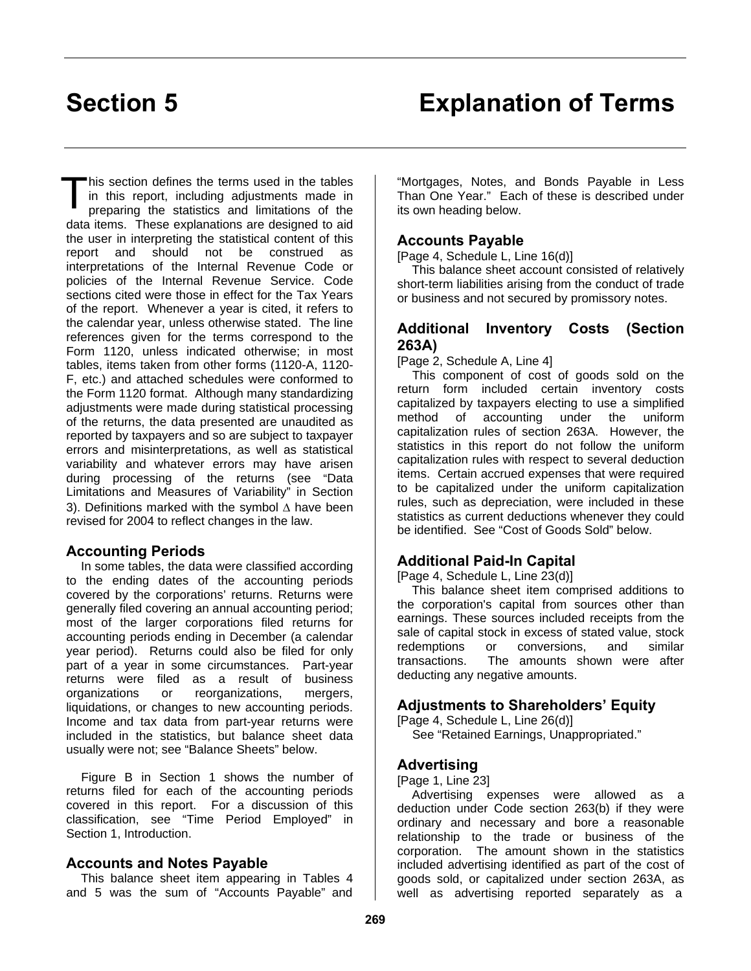This section defines the terms used in the tables<br>in this report, including adjustments made in<br>preparing the statistics and limitations of the in this report, including adjustments made in pre paring the statistics and limitations of the data items. These explanations are designed to aid the user in interpreting the statistical content of this report and should not be construed as interpretations of the Internal Revenue Code or policies of the Internal Revenue Service. Code sections cited were those in effect for the Tax Years of the report. Whenever a year is cited, it refers to the calendar year, unless otherwise stated. The line references given for the terms correspond to the Form 1120, unless indicated otherwise; in most tables, items taken from other forms (1120-A, 1120- F, etc.) and attached schedules were conformed to the Form 1120 format. Although many standardizing adjustments were made during statistical processing of the returns, the data presented are unaudited as reported by taxpayers and so are subject to taxpayer errors and misinterpretations, as well as statistical variability and whatever errors may have arisen during processing of the returns (see "Data Limitations and Measures of Variability" in Section 3). Definitions marked with the symbol  $\Delta$  have been revised for 2004 to reflect changes in the law.

#### **Accounting Periods**

In some tables, the data were classified according to the ending dates of the accounting periods covered by the corporations' returns. Returns were generally filed covering an annual accounting period; most of the larger corporations filed returns for accounting periods ending in December (a calendar year period). Returns could also be filed for only part of a year in some circumstances. Part-year returns were filed as a result of business organizations or reorganizations, mergers, liquidations, or changes to new accounting periods. Income and tax data from part-year returns were included in the statistics, but balance sheet data usually were not; see "Balance Sheets" below.

Figure B in Section 1 shows the number of returns filed for each of the accounting periods covered in this report. For a discussion of this classification, see "Time Period Employed" in Section 1, Introduction.

#### **Accounts and Notes Payable**

This balance sheet item appearing in Tables 4 and 5 was the sum of "Accounts Payable" and

"Mortgages, Notes, and Bonds Payable in Less Than One Year." Each of these is described under its own heading below.

#### **Accounts Payable**

[Page 4, Schedule L, Line 16(d)]

This balance sheet account consisted of relatively short-term liabilities arising from the conduct of trade or business and not secured by promissory notes.

#### **Additional Inventory Costs (Section 263A)**

[Page 2, Schedule A, Line 4]

This component of cost of goods sold on the return form included certain inventory costs capitalized by taxpayers electing to use a simplified method of accounting under the uniform capitalization rules of section 263A. However, the statistics in this report do not follow the uniform capitalization rules with respect to several deduction items. Certain accrued expenses that were required to be capitalized under the uniform capitalization rules, such as depreciation, were included in these statistics as current deductions whenever they could be identified. See "Cost of Goods Sold" below.

#### **Additional Paid-In Capital**

[Page 4, Schedule L, Line 23(d)]

This balance sheet item comprised additions to the corporation's capital from sources other than earnings. These sources included receipts from the sale of capital stock in excess of stated value, stock redemptions or conversions, and similar transactions. The amounts shown were after deducting any negative amounts.

#### **Adjustments to Shareholders' Equity**

[Page 4, Schedule L, Line 26(d)]

See "Retained Earnings, Unappropriated."

#### **Advertising**

[Page 1, Line 23]

Advertising expenses were allowed as a deduction under Code section 263(b) if they were ordinary and necessary and bore a reasonable relationship to the trade or business of the corporation. The amount shown in the statistics included advertising identified as part of the cost of goods sold, or capitalized under section 263A, as well as advertising reported separately as a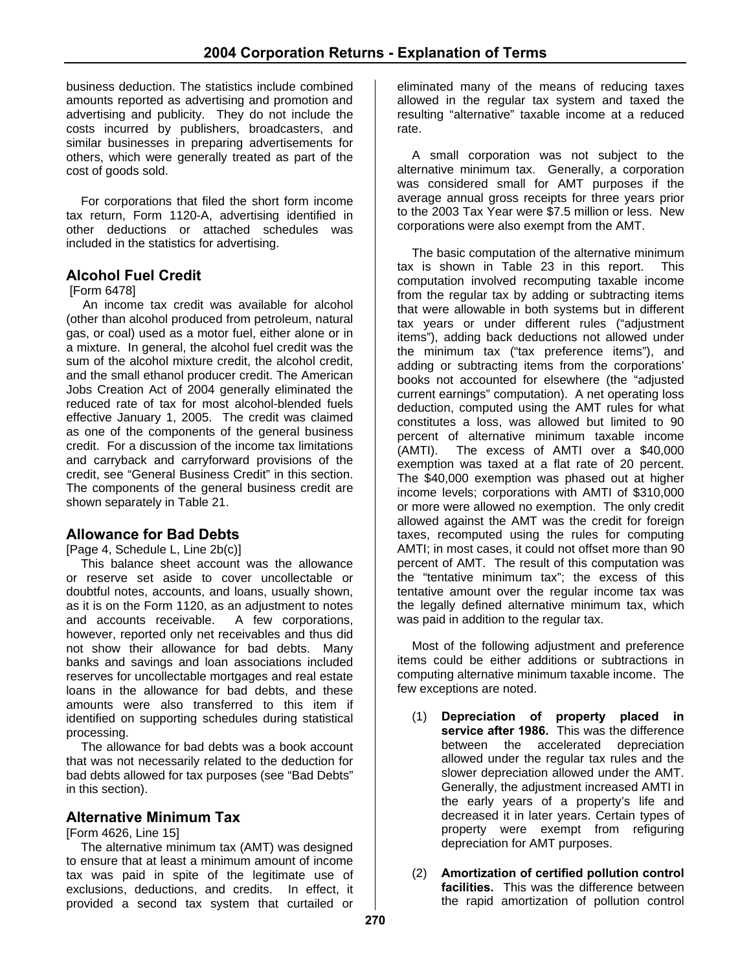business deduction. The statistics include combined amounts reported as advertising and promotion and advertising and publicity. They do not include the costs incurred by publishers, broadcasters, and similar businesses in preparing advertisements for others, which were generally treated as part of the cost of goods sold.

For corporations that filed the short form income tax return, Form 1120-A, advertising identified in other deductions or attached schedules was included in the statistics for advertising.

#### **Alcohol Fuel Credit**

#### [Form 6478]

An income tax credit was available for alcohol (other than alcohol produced from petroleum, natural gas, or coal) used as a motor fuel, either alone or in a mixture. In general, the alcohol fuel credit was the sum of the alcohol mixture credit, the alcohol credit, and the small ethanol producer credit. The American Jobs Creation Act of 2004 generally eliminated the reduced rate of tax for most alcohol-blended fuels effective January 1, 2005. The credit was claimed as one of the components of the general business credit. For a discussion of the income tax limitations and carryback and carryforward provisions of the credit, see "General Business Credit" in this section. The components of the general business credit are shown separately in Table 21.

#### **Allowance for Bad Debts**

[Page 4, Schedule L, Line 2b(c)]

This balance sheet account was the allowance or reserve set aside to cover uncollectable or doubtful notes, accounts, and loans, usually shown, as it is on the Form 1120, as an adjustment to notes and accounts receivable. A few corporations, however, reported only net receivables and thus did not show their allowance for bad debts. Many banks and savings and loan associations included reserves for uncollectable mortgages and real estate loans in the allowance for bad debts, and these amounts were also transferred to this item if identified on supporting schedules during statistical processing.

The allowance for bad debts was a book account that was not necessarily related to the deduction for bad debts allowed for tax purposes (see "Bad Debts" in this section).

#### **Alternative Minimum Tax**

[Form 4626, Line 15]

The alternative minimum tax (AMT) was designed to ensure that at least a minimum amount of income tax was paid in spite of the legitimate use of exclusions, deductions, and credits. In effect, it provided a second tax system that curtailed or

eliminated many of the means of reducing taxes allowed in the regular tax system and taxed the resulting "alternative" taxable income at a reduced rate.

A small corporation was not subject to the alternative minimum tax. Generally, a corporation was considered small for AMT purposes if the average annual gross receipts for three years prior to the 2003 Tax Year were \$7.5 million or less. New corporations were also exempt from the AMT.

The basic computation of the alternative minimum tax is shown in Table 23 in this report. This computation involved recomputing taxable income from the regular tax by adding or subtracting items that were allowable in both systems but in different tax years or under different rules ("adjustment items"), adding back deductions not allowed under the minimum tax ("tax preference items"), and adding or subtracting items from the corporations' books not accounted for elsewhere (the "adjusted current earnings" computation). A net operating loss deduction, computed using the AMT rules for what constitutes a loss, was allowed but limited to 90 percent of alternative minimum taxable income (AMTI). The excess of AMTI over a \$40,000 exemption was taxed at a flat rate of 20 percent. The \$40,000 exemption was phased out at higher income levels; corporations with AMTI of \$310,000 or more were allowed no exemption. The only credit allowed against the AMT was the credit for foreign taxes, recomputed using the rules for computing AMTI; in most cases, it could not offset more than 90 percent of AMT. The result of this computation was the "tentative minimum tax"; the excess of this tentative amount over the regular income tax was the legally defined alternative minimum tax, which was paid in addition to the regular tax.

Most of the following adjustment and preference items could be either additions or subtractions in computing alternative minimum taxable income. The few exceptions are noted.

- (1) **Depreciation of property placed in service after 1986.** This was the difference between the accelerated depreciation allowed under the regular tax rules and the slower depreciation allowed under the AMT. Generally, the adjustment increased AMTI in the early years of a property's life and decreased it in later years. Certain types of property were exempt from refiguring depreciation for AMT purposes.
- (2) **Amortization of certified pollution control facilities.** This was the difference between the rapid amortization of pollution control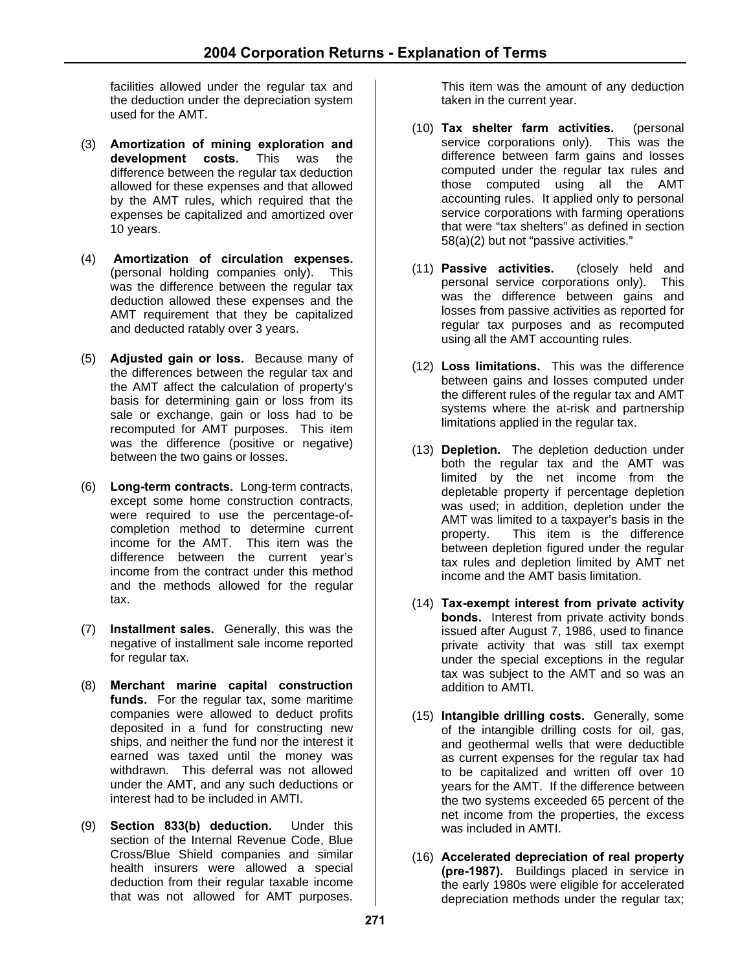facilities allowed under the regular tax and the deduction under the depreciation system used for the AMT.

- (3) **Amortization of mining exploration and development costs.** This was the difference between the regular tax deduction allowed for these expenses and that allowed by the AMT rules, which required that the expenses be capitalized and amortized over 10 years.
- (4) **Amortization of circulation expenses.** (personal holding companies only). This was the difference between the regular tax deduction allowed these expenses and the AMT requirement that they be capitalized and deducted ratably over 3 years.
- (5) **Adjusted gain or loss.** Because many of the differences between the regular tax and the AMT affect the calculation of property's basis for determining gain or loss from its sale or exchange, gain or loss had to be recomputed for AMT purposes. This item was the difference (positive or negative) between the two gains or losses.
- (6) **Long-term contracts.** Long-term contracts, except some home construction contracts, were required to use the percentage-ofcompletion method to determine current income for the AMT. This item was the difference between the current year's income from the contract under this method and the methods allowed for the regular tax.
- (7) **Installment sales.** Generally, this was the negative of installment sale income reported for regular tax.
- (8) **Merchant marine capital construction funds.** For the regular tax, some maritime companies were allowed to deduct profits deposited in a fund for constructing new ships, and neither the fund nor the interest it earned was taxed until the money was withdrawn. This deferral was not allowed under the AMT, and any such deductions or interest had to be included in AMTI.
- (9) **Section 833(b) deduction.** Under this section of the Internal Revenue Code, Blue Cross/Blue Shield companies and similar health insurers were allowed a special deduction from their regular taxable income that was not allowed for AMT purposes.

This item was the amount of any deduction taken in the current year.

- (10) **Tax shelter farm activities.** (personal service corporations only). This was the difference between farm gains and losses computed under the regular tax rules and those computed using all the AMT accounting rules. It applied only to personal service corporations with farming operations that were "tax shelters" as defined in section 58(a)(2) but not "passive activities."
- (11) **Passive activities.** (closely held and personal service corporations only). This was the difference between gains and losses from passive activities as reported for regular tax purposes and as recomputed using all the AMT accounting rules.
- (12) **Loss limitations.** This was the difference between gains and losses computed under the different rules of the regular tax and AMT systems where the at-risk and partnership limitations applied in the regular tax.
- (13) **Depletion.** The depletion deduction under both the regular tax and the AMT was limited by the net income from the depletable property if percentage depletion was used; in addition, depletion under the AMT was limited to a taxpayer's basis in the property. This item is the difference between depletion figured under the regular tax rules and depletion limited by AMT net income and the AMT basis limitation.
- (14) **Tax-exempt interest from private activity bonds.** Interest from private activity bonds issued after August 7, 1986, used to finance private activity that was still tax exempt under the special exceptions in the regular tax was subject to the AMT and so was an addition to AMTI.
- (15) **Intangible drilling costs.** Generally, some of the intangible drilling costs for oil, gas, and geothermal wells that were deductible as current expenses for the regular tax had to be capitalized and written off over 10 years for the AMT. If the difference between the two systems exceeded 65 percent of the net income from the properties, the excess was included in AMTI.
- (16) **Accelerated depreciation of real property (pre-1987).** Buildings placed in service in the early 1980s were eligible for accelerated depreciation methods under the regular tax;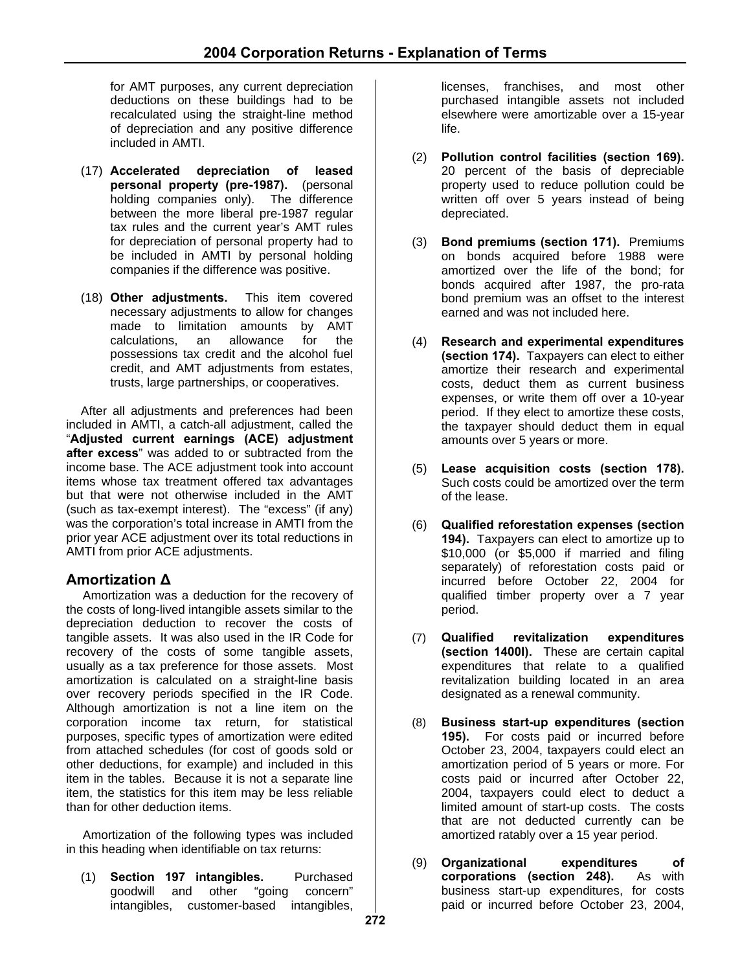for AMT purposes, any current depreciation deductions on these buildings had to be recalculated using the straight-line method of depreciation and any positive difference included in AMTI.

- (17) **Accelerated depreciation of leased personal property (pre-1987).** (personal holding companies only). The difference between the more liberal pre-1987 regular tax rules and the current year's AMT rules for depreciation of personal property had to be included in AMTI by personal holding companies if the difference was positive.
- (18) **Other adjustments.** This item covered necessary adjustments to allow for changes made to limitation amounts by AMT calculations, an allowance for the possessions tax credit and the alcohol fuel credit, and AMT adjustments from estates, trusts, large partnerships, or cooperatives.

After all adjustments and preferences had been included in AMTI, a catch-all adjustment, called the "**Adjusted current earnings (ACE) adjustment after excess**" was added to or subtracted from the income base. The ACE adjustment took into account items whose tax treatment offered tax advantages but that were not otherwise included in the AMT (such as tax-exempt interest). The "excess" (if any) was the corporation's total increase in AMTI from the prior year ACE adjustment over its total reductions in AMTI from prior ACE adjustments.

# **Amortization Δ**

Amortization was a deduction for the recovery of the costs of long-lived intangible assets similar to the depreciation deduction to recover the costs of tangible assets. It was also used in the IR Code for recovery of the costs of some tangible assets, usually as a tax preference for those assets. Most amortization is calculated on a straight-line basis over recovery periods specified in the IR Code. Although amortization is not a line item on the corporation income tax return, for statistical purposes, specific types of amortization were edited from attached schedules (for cost of goods sold or other deductions, for example) and included in this item in the tables. Because it is not a separate line item, the statistics for this item may be less reliable than for other deduction items.

Amortization of the following types was included in this heading when identifiable on tax returns:

(1) **Section 197 intangibles.** Purchased goodwill and other "going intangibles, customer-based intangibles, licenses, franchises, and most other purchased intangible assets not included elsewhere were amortizable over a 15-year life.

- (2) **Pollution control facilities (section 169).** 20 percent of the basis of depreciable property used to reduce pollution could be written off over 5 years instead of being depreciated.
- (3) **Bond premiums (section 171).** Premiums on bonds acquired before 1988 were amortized over the life of the bond; for bonds acquired after 1987, the pro-rata bond premium was an offset to the interest earned and was not included here.
- (4) **Research and experimental expenditures (section 174).** Taxpayers can elect to either amortize their research and experimental costs, deduct them as current business expenses, or write them off over a 10-year period. If they elect to amortize these costs, the taxpayer should deduct them in equal amounts over 5 years or more.
- (5) **Lease acquisition costs (section 178).** Such costs could be amortized over the term of the lease.
- (6) **Qualified reforestation expenses (section 194).** Taxpayers can elect to amortize up to \$10,000 (or \$5,000 if married and filing separately) of reforestation costs paid or incurred before October 22, 2004 for qualified timber property over a 7 year period.
- (7) **Qualified revitalization expenditures (section 1400I).** These are certain capital expenditures that relate to a qualified revitalization building located in an area designated as a renewal community.
- (8) **Business start-up expenditures (section 195).** For costs paid or incurred before October 23, 2004, taxpayers could elect an amortization period of 5 years or more. For costs paid or incurred after October 22, 2004, taxpayers could elect to deduct a limited amount of start-up costs. The costs that are not deducted currently can be amortized ratably over a 15 year period.
- (9) **Organizational expenditures of corporations (section 248).** As with business start-up expenditures, for costs paid or incurred before October 23, 2004,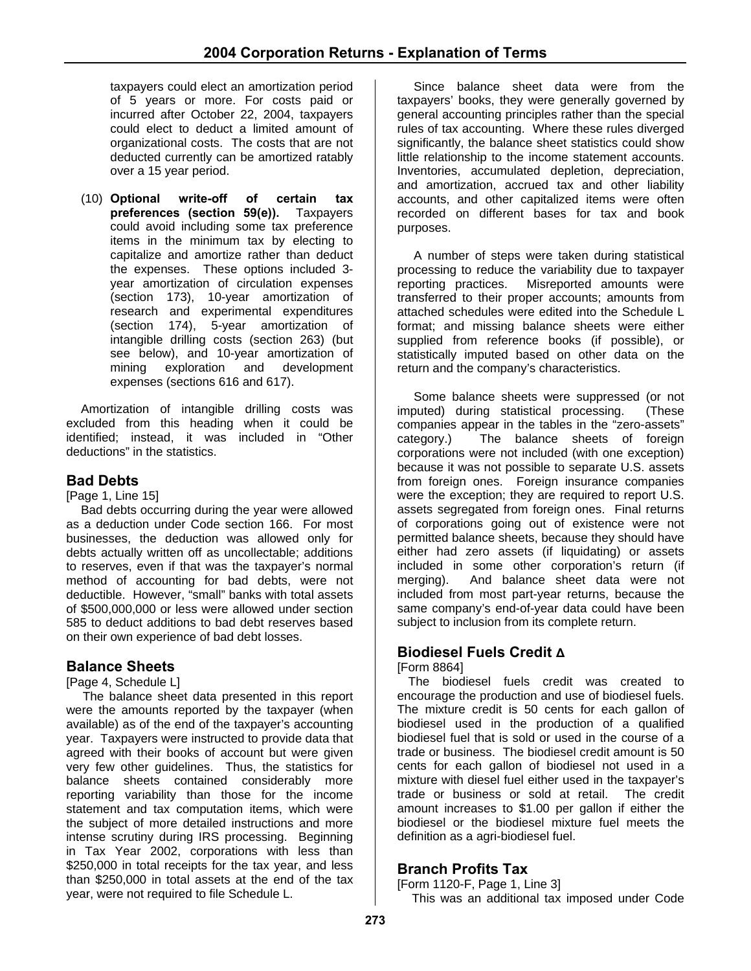taxpayers could elect an amortization period of 5 years or more. For costs paid or incurred after October 22, 2004, taxpayers could elect to deduct a limited amount of organizational costs. The costs that are not deducted currently can be amortized ratably over a 15 year period.

(10) **Optional write-off of certain tax preferences (section 59(e)).** Taxpayers could avoid including some tax preference items in the minimum tax by electing to capitalize and amortize rather than deduct the expenses. These options included 3 year amortization of circulation expenses (section 173), 10-year amortization of research and experimental expenditures (section 174), 5-year amortization of intangible drilling costs (section 263) (but see below), and 10-year amortization of mining exploration and development expenses (sections 616 and 617).

Amortization of intangible drilling costs was excluded from this heading when it could be identified; instead, it was included in "Other deductions" in the statistics.

**Bad Debts** [Page 1, Line 15]

Bad debts occurring during the year were allowed as a deduction under Code section 166. For most businesses, the deduction was allowed only for debts actually written off as uncollectable; additions to reserves, even if that was the taxpayer's normal method of accounting for bad debts, were not deductible. However, "small" banks with total assets of \$500,000,000 or less were allowed under section 585 to deduct additions to bad debt reserves based on their own experience of bad debt losses.

# **Balance Sheets**<br>[Page 4, Schedule L]

The balance sheet data presented in this report were the amounts reported by the taxpayer (when available) as of the end of the taxpayer's accounting year. Taxpayers were instructed to provide data that agreed with their books of account but were given very few other guidelines. Thus, the statistics for balance sheets contained considerably more reporting variability than those for the income statement and tax computation items, which were the subject of more detailed instructions and more intense scrutiny during IRS processing. Beginning in Tax Year 2002, corporations with less than \$250,000 in total receipts for the tax year, and less than \$250,000 in total assets at the end of the tax year, were not required to file Schedule L.

Since balance sheet data were from the taxpayers' books, they were generally governed by general accounting principles rather than the special rules of tax accounting. Where these rules diverged significantly, the balance sheet statistics could show little relationship to the income statement accounts. Inventories, accumulated depletion, depreciation, and amortization, accrued tax and other liability accounts, and other capitalized items were often recorded on different bases for tax and book purposes.

A number of steps were taken during statistical processing to reduce the variability due to taxpayer reporting practices. Misreported amounts were transferred to their proper accounts; amounts from attached schedules were edited into the Schedule L format; and missing balance sheets were either supplied from reference books (if possible), or statistically imputed based on other data on the return and the company's characteristics.

Some balance sheets were suppressed (or not imputed) during statistical processing. (These companies appear in the tables in the "zero-assets" category.) The balance sheets of foreign corporations were not included (with one exception) because it was not possible to separate U.S. assets from foreign ones. Foreign insurance companies were the exception; they are required to report U.S. assets segregated from foreign ones. Final returns of corporations going out of existence were not permitted balance sheets, because they should have either had zero assets (if liquidating) or assets included in some other corporation's return (if merging). And balance sheet data were not included from most part-year returns, because the same company's end-of-year data could have been subject to inclusion from its complete return.

# **Biodiesel Fuels Credit Δ**

[Form 8864]

The biodiesel fuels credit was created to encourage the production and use of biodiesel fuels. The mixture credit is 50 cents for each gallon of biodiesel used in the production of a qualified biodiesel fuel that is sold or used in the course of a trade or business. The biodiesel credit amount is 50 cents for each gallon of biodiesel not used in a mixture with diesel fuel either used in the taxpayer's trade or business or sold at retail. The credit amount increases to \$1.00 per gallon if either the biodiesel or the biodiesel mixture fuel meets the definition as a agri-biodiesel fuel.

# **Branch Profits Tax**

[Form 1120-F, Page 1, Line 3]

This was an additional tax imposed under Code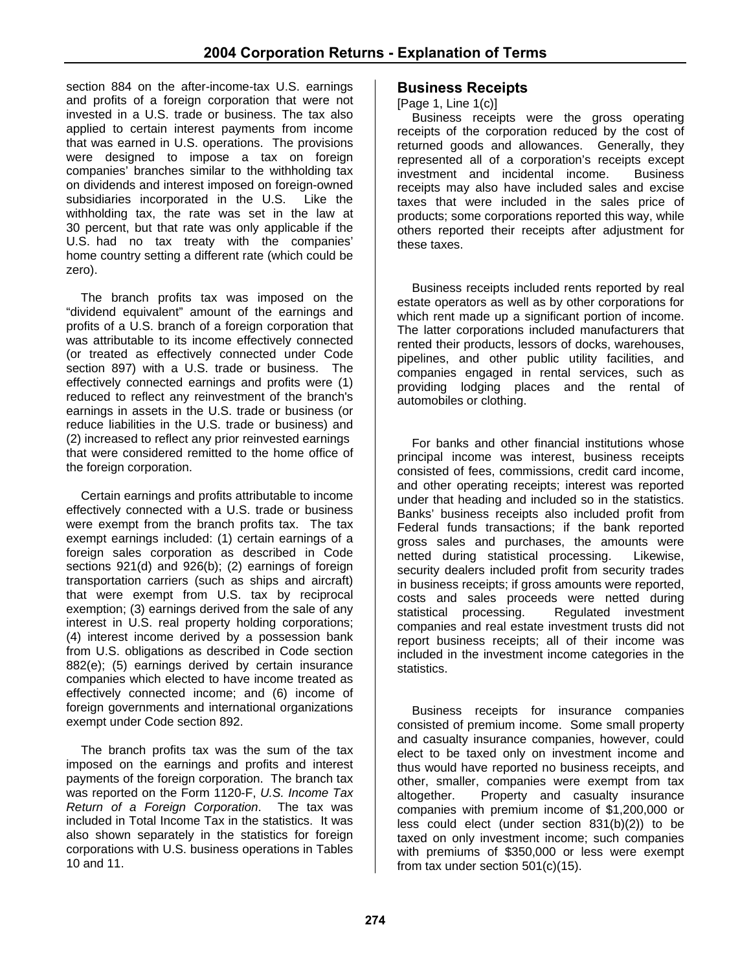section 884 on the after-income-tax U.S. earnings and profits of a foreign corporation that were not invested in a U.S. trade or business. The tax also applied to certain interest payments from income that was earned in U.S. operations. The provisions were designed to impose a tax on foreign companies' branches similar to the withholding tax on dividends and interest imposed on foreign-owned subsidiaries incorporated in the U.S. Like the withholding tax, the rate was set in the law at 30 percent, but that rate was only applicable if the U.S. had no tax treaty with the companies' home country setting a different rate (which could be zero).

The branch profits tax was imposed on the "dividend equivalent" amount of the earnings and profits of a U.S. branch of a foreign corporation that was attributable to its income effectively connected (or treated as effectively connected under Code section 897) with a U.S. trade or business. The effectively connected earnings and profits were (1) reduced to reflect any reinvestment of the branch's earnings in assets in the U.S. trade or business (or reduce liabilities in the U.S. trade or business) and (2) increased to reflect any prior reinvested earnings that were considered remitted to the home office of the foreign corporation.

Certain earnings and profits attributable to income effectively connected with a U.S. trade or business were exempt from the branch profits tax. The tax exempt earnings included: (1) certain earnings of a foreign sales corporation as described in Code sections 921(d) and 926(b); (2) earnings of foreign transportation carriers (such as ships and aircraft) that were exempt from U.S. tax by reciprocal exemption; (3) earnings derived from the sale of any interest in U.S. real property holding corporations; (4) interest income derived by a possession bank from U.S. obligations as described in Code section 882(e); (5) earnings derived by certain insurance companies which elected to have income treated as effectively connected income; and (6) income of foreign governments and international organizations exempt under Code section 892.

The branch profits tax was the sum of the tax imposed on the earnings and profits and interest payments of the foreign corporation. The branch tax was reported on the Form 1120-F, *U.S. Income Tax Return of a Foreign Corporation*. The tax was included in Total Income Tax in the statistics. It was also shown separately in the statistics for foreign corporations with U.S. business operations in Tables 10 and 11.

### **Business Receipts**

[Page 1, Line 1(c)]

Business receipts were the gross operating receipts of the corporation reduced by the cost of returned goods and allowances. Generally, they represented all of a corporation's receipts except investment and incidental income. Business receipts may also have included sales and excise taxes that were included in the sales price of products; some corporations reported this way, while others reported their receipts after adjustment for these taxes.

Business receipts included rents reported by real estate operators as well as by other corporations for which rent made up a significant portion of income. The latter corporations included manufacturers that rented their products, lessors of docks, warehouses, pipelines, and other public utility facilities, and companies engaged in rental services, such as providing lodging places and the rental of automobiles or clothing.

For banks and other financial institutions whose principal income was interest, business receipts consisted of fees, commissions, credit card income, and other operating receipts; interest was reported under that heading and included so in the statistics. Banks' business receipts also included profit from Federal funds transactions; if the bank reported gross sales and purchases, the amounts were netted during statistical processing. Likewise, security dealers included profit from security trades in business receipts; if gross amounts were reported, costs and sales proceeds were netted during statistical processing. Regulated investment companies and real estate investment trusts did not report business receipts; all of their income was included in the investment income categories in the statistics.

Business receipts for insurance companies consisted of premium income. Some small property and casualty insurance companies, however, could elect to be taxed only on investment income and thus would have reported no business receipts, and other, smaller, companies were exempt from tax altogether. Property and casualty insurance companies with premium income of \$1,200,000 or less could elect (under section 831(b)(2)) to be taxed on only investment income; such companies with premiums of \$350,000 or less were exempt from tax under section 501(c)(15).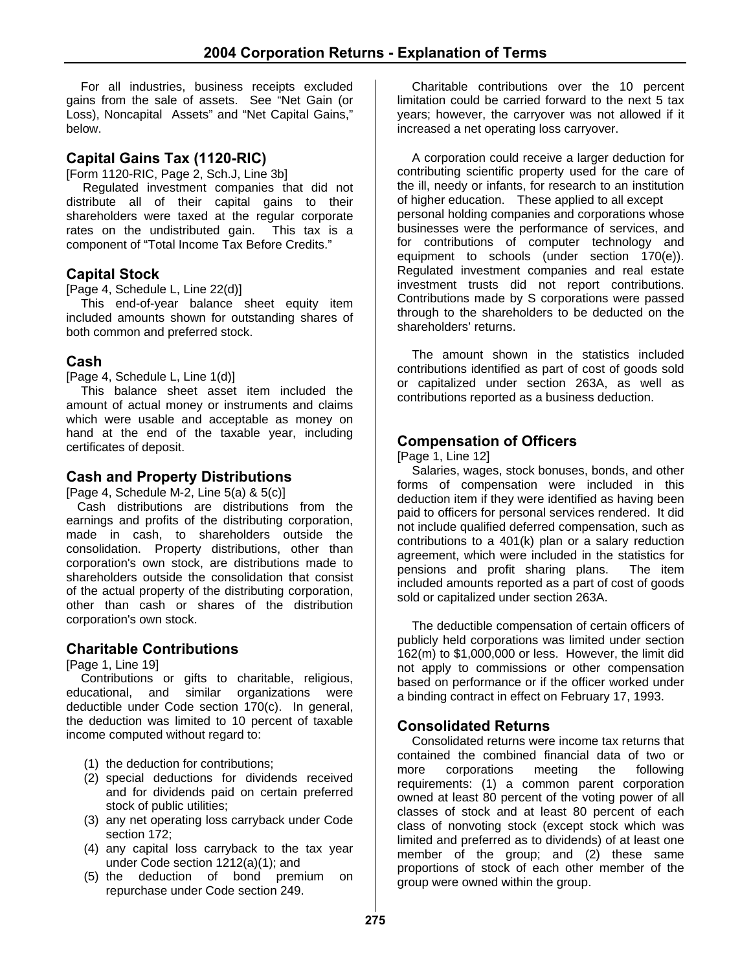For all industries, business receipts excluded gains from the sale of assets. See "Net Gain (or Loss), Noncapital Assets" and "Net Capital Gains," below.

#### **Capital Gains Tax (1120-RIC)**

[Form 1120-RIC, Page 2, Sch.J, Line 3b]

Regulated investment companies that did not distribute all of their capital gains to their shareholders were taxed at the regular corporate rates on the undistributed gain. This tax is a component of "Total Income Tax Before Credits."

#### **Capital Stock**

[Page 4, Schedule L, Line 22(d)]

This end-of-year balance sheet equity item included amounts shown for outstanding shares of both common and preferred stock.

#### **Cash**

[Page 4, Schedule L, Line 1(d)]

This balance sheet asset item included the amount of actual money or instruments and claims which were usable and acceptable as money on hand at the end of the taxable year, including certificates of deposit.

#### **Cash and Property Distributions**

[Page 4, Schedule M-2, Line  $5(a)$  &  $5(c)$ ]

Cash distributions are distributions from the earnings and profits of the distributing corporation, made in cash, to shareholders outside the consolidation. Property distributions, other than corporation's own stock, are distributions made to shareholders outside the consolidation that consist of the actual property of the distributing corporation, other than cash or shares of the distribution corporation's own stock.

#### **Charitable Contributions**

[Page 1, Line 19]

Contributions or gifts to charitable, religious, educational, and similar organizations were deductible under Code section 170(c). In general, the deduction was limited to 10 percent of taxable income computed without regard to:

- (1) the deduction for contributions;
- (2) special deductions for dividends received and for dividends paid on certain preferred stock of public utilities;
- (3) any net operating loss carryback under Code section 172;
- (4) any capital loss carryback to the tax year under Code section 1212(a)(1); and
- (5) the deduction of bond premium on repurchase under Code section 249.

Charitable contributions over the 10 percent limitation could be carried forward to the next 5 tax years; however, the carryover was not allowed if it increased a net operating loss carryover.

A corporation could receive a larger deduction for contributing scientific property used for the care of the ill, needy or infants, for research to an institution of higher education. These applied to all except personal holding companies and corporations whose businesses were the performance of services, and for contributions of computer technology and equipment to schools (under section 170(e)). Regulated investment companies and real estate investment trusts did not report contributions. Contributions made by S corporations were passed through to the shareholders to be deducted on the shareholders' returns.

The amount shown in the statistics included contributions identified as part of cost of goods sold or capitalized under section 263A, as well as contributions reported as a business deduction.

#### **Compensation of Officers**

[Page 1, Line 12]

Salaries, wages, stock bonuses, bonds, and other forms of compensation were included in this deduction item if they were identified as having been paid to officers for personal services rendered. It did not include qualified deferred compensation, such as contributions to a 401(k) plan or a salary reduction agreement, which were included in the statistics for pensions and profit sharing plans. The item included amounts reported as a part of cost of goods sold or capitalized under section 263A.

The deductible compensation of certain officers of publicly held corporations was limited under section 162(m) to \$1,000,000 or less. However, the limit did not apply to commissions or other compensation based on performance or if the officer worked under a binding contract in effect on February 17, 1993.

#### **Consolidated Returns**

Consolidated returns were income tax returns that contained the combined financial data of two or more corporations meeting the following requirements: (1) a common parent corporation owned at least 80 percent of the voting power of all classes of stock and at least 80 percent of each class of nonvoting stock (except stock which was limited and preferred as to dividends) of at least one member of the group; and (2) these same proportions of stock of each other member of the group were owned within the group.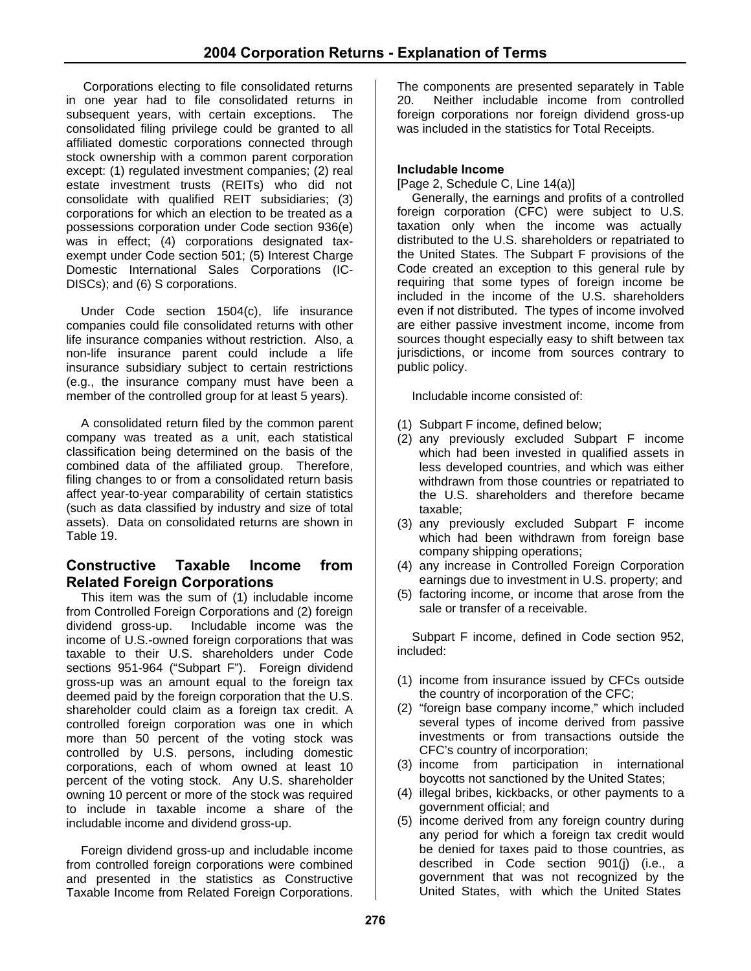Corporations electing to file consolidated returns in one year had to file consolidated returns in subsequent years, with certain exceptions. The consolidated filing privilege could be granted to all affiliated domestic corporations connected through stock ownership with a common parent corporation except: (1) regulated investment companies; (2) real estate investment trusts (REITs) who did not consolidate with qualified REIT subsidiaries; (3) corporations for which an election to be treated as a possessions corporation under Code section 936(e) was in effect; (4) corporations designated taxexempt under Code section 501; (5) Interest Charge Domestic International Sales Corporations (IC-DISCs); and (6) S corporations.

Under Code section 1504(c), life insurance companies could file consolidated returns with other life insurance companies without restriction. Also, a non-life insurance parent could include a life insurance subsidiary subject to certain restrictions (e.g., the insurance company must have been a member of the controlled group for at least 5 years).

A consolidated return filed by the common parent company was treated as a unit, each statistical classification being determined on the basis of the combined data of the affiliated group. Therefore, filing changes to or from a consolidated return basis affect year-to-year comparability of certain statistics (such as data classified by industry and size of total assets). Data on consolidated returns are shown in Table 19.

# **Constructive Taxable Income from Related Foreign Corporations**

This item was the sum of (1) includable income from Controlled Foreign Corporations and (2) foreign dividend gross-up. Includable income was the income of U.S.-owned foreign corporations that was taxable to their U.S. shareholders under Code sections 951-964 ("Subpart F"). Foreign dividend gross-up was an amount equal to the foreign tax deemed paid by the foreign corporation that the U.S. shareholder could claim as a foreign tax credit. A controlled foreign corporation was one in which more than 50 percent of the voting stock was controlled by U.S. persons, including domestic corporations, each of whom owned at least 10 percent of the voting stock. Any U.S. shareholder owning 10 percent or more of the stock was required to include in taxable income a share of the includable income and dividend gross-up.

Foreign dividend gross-up and includable income from controlled foreign corporations were combined and presented in the statistics as Constructive Taxable Income from Related Foreign Corporations.

The components are presented separately in Table 20. Neither includable income from controlled foreign corporations nor foreign dividend gross-up was included in the statistics for Total Receipts.

#### **Includable Income**

[Page 2, Schedule C, Line 14(a)]

Generally, the earnings and profits of a controlled foreign corporation (CFC) were subject to U.S.  $taxation$  only when the income was actually distributed to the U.S. shareholders or repatriated to the United States. The Subpart F provisions of the Code created an exception to this general rule by requiring that some types of foreign income be included in the income of the U.S. shareholders even if not distributed. The types of income involved are either passive investment income, income from sources thought especially easy to shift between tax jurisdictions, or income from sources contrary to public policy.

Includable income consisted of:

- (1) Subpart F income, defined below;
- (2) any previously excluded Subpart F income which had been invested in qualified assets in less developed countries, and which was either withdrawn from those countries or repatriated to the U.S. shareholders and therefore became taxable;
- (3) any previously excluded Subpart F income which had been withdrawn from foreign base company shipping operations;
- (4) any increase in Controlled Foreign Corporation earnings due to investment in U.S. property; and
- (5) factoring income, or income that arose from the sale or transfer of a receivable.

Subpart F income, defined in Code section 952, included:

- (1) income from insurance issued by CFCs outside the country of incorporation of the CFC;
- (2) "foreign base company income," which included several types of income derived from passive investments or from transactions outside the CFC's country of incorporation;
- (3) income from participation in international boycotts not sanctioned by the United States;
- (4) illegal bribes, kickbacks, or other payments to a government official; and
- (5) income derived from any foreign country during any period for which a foreign tax credit would be denied for taxes paid to those countries, as described in Code section 901(j) (i.e., a government that was not recognized by the United States, with which the United States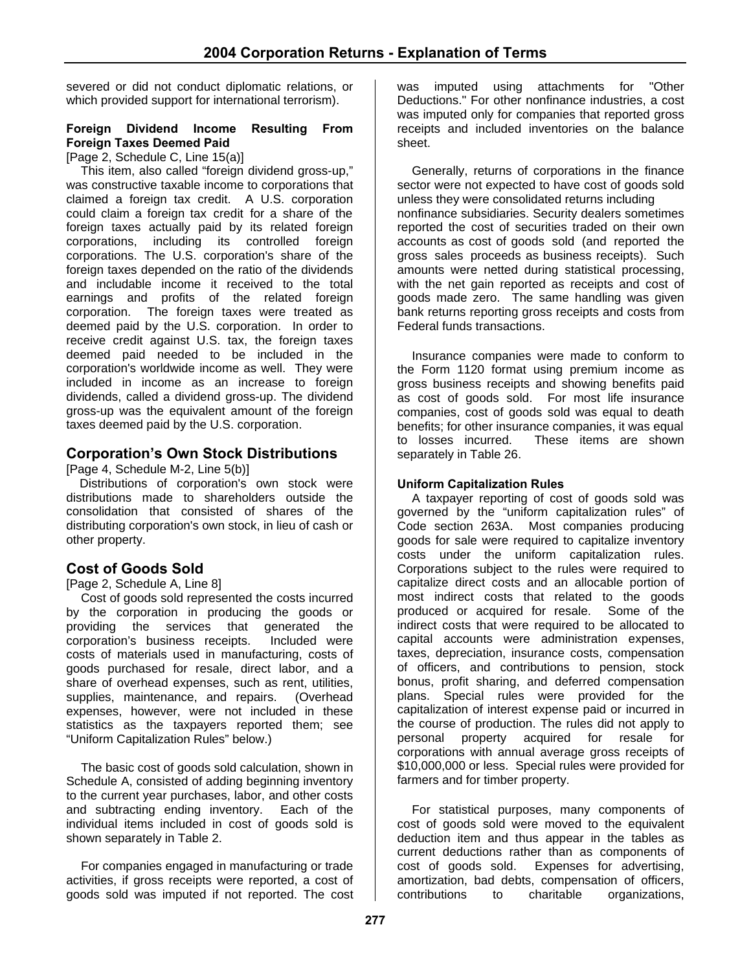severed or did not conduct diplomatic relations, or which provided support for international terrorism).

#### **Foreign Dividend Income Resulting From Foreign Taxes Deemed Paid**

[Page 2, Schedule C, Line 15(a)]

This item, also called "foreign dividend gross-up," was constructive taxable income to corporations that claimed a foreign tax credit. A U.S. corporation could claim a foreign tax credit for a share of the foreign taxes actually paid by its related foreign corporations, including its controlled foreign corporations. The U.S. corporation's share of the foreign taxes depended on the ratio of the dividends and includable income it received to the total earnings and profits of the related foreign corporation. The foreign taxes were treated as deemed paid by the U.S. corporation. In order to receive credit against U.S. tax, the foreign taxes deemed paid needed to be included in the corporation's worldwide income as well. They were included in income as an increase to foreign dividends, called a dividend gross-up. The dividend gross-up was the equivalent amount of the foreign taxes deemed paid by the U.S. corporation.

# **Corporation's Own Stock Distributions**

[Page 4, Schedule M-2, Line 5(b)]

 Distributions of corporation's own stock were distributions made to shareholders outside the consolidation that consisted of shares of the distributing corporation's own stock, in lieu of cash or other property.

# **Cost of Goods Sold**

[Page 2, Schedule A, Line 8]

Cost of goods sold represented the costs incurred by the corporation in producing the goods or providing the services that generated the corporation's business receipts. Included were costs of materials used in manufacturing, costs of goods purchased for resale, direct labor, and a share of overhead expenses, such as rent, utilities, supplies, maintenance, and repairs. (Overhead expenses, however, were not included in these statistics as the taxpayers reported them; see "Uniform Capitalization Rules" below.)

The basic cost of goods sold calculation, shown in Schedule A, consisted of adding beginning inventory to the current year purchases, labor, and other costs and subtracting ending inventory. Each of the individual items included in cost of goods sold is shown separately in Table 2.

For companies engaged in manufacturing or trade activities, if gross receipts were reported, a cost of goods sold was imputed if not reported. The cost was imputed using attachments for "Other Deductions." For other nonfinance industries, a cost was imputed only for companies that reported gross receipts and included inventories on the balance sheet.

Generally, returns of corporations in the finance sector were not expected to have cost of goods sold unless they were consolidated returns including nonfinance subsidiaries. Security dealers sometimes reported the cost of securities traded on their own accounts as cost of goods sold (and reported the gross sales proceeds as business receipts). Such amounts were netted during statistical processing, with the net gain reported as receipts and cost of goods made zero. The same handling was given bank returns reporting gross receipts and costs from Federal funds transactions.

Insurance companies were made to conform to the Form 1120 format using premium income as gross business receipts and showing benefits paid as cost of goods sold. For most life insurance companies, cost of goods sold was equal to death benefits; for other insurance companies, it was equal to losses incurred. These items are shown separately in Table 26.

#### **Uniform Capitalization Rules**

A taxpayer reporting of cost of goods sold was governed by the "uniform capitalization rules" of Code section 263A. Most companies producing goods for sale were required to capitalize inventory costs under the uniform capitalization rules. Corporations subject to the rules were required to capitalize direct costs and an allocable portion of most indirect costs that related to the goods produced or acquired for resale. Some of the indirect costs that were required to be allocated to capital accounts were administration expenses, taxes, depreciation, insurance costs, compensation of officers, and contributions to pension, stock bonus, profit sharing, and deferred compensation plans. Special rules were provided for the capitalization of interest expense paid or incurred in the course of production. The rules did not apply to personal property acquired for resale for corporations with annual average gross receipts of \$10,000,000 or less. Special rules were provided for farmers and for timber property.

For statistical purposes, many components of cost of goods sold were moved to the equivalent deduction item and thus appear in the tables as current deductions rather than as components of cost of goods sold. Expenses for advertising, amortization, bad debts, compensation of officers, contributions to charitable organizations,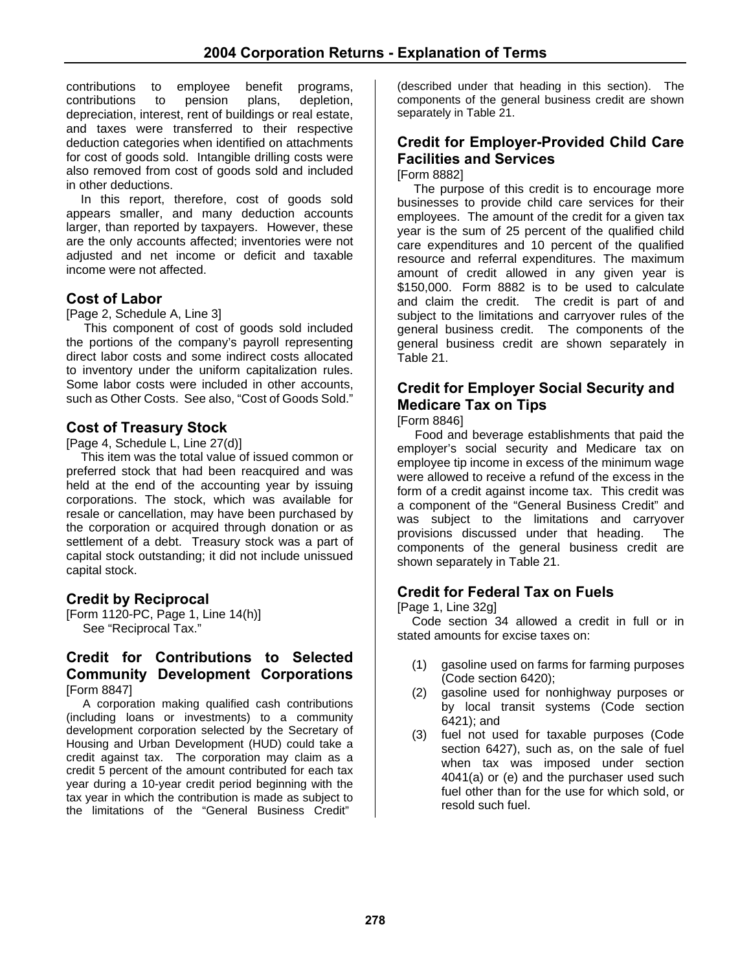contributions to employee benefit programs, contributions to pension plans, depletion, depreciation, interest, rent of buildings or real estate, and taxes were transferred to their respective deduction categories when identified on attachments for cost of goods sold. Intangible drilling costs were also removed from cost of goods sold and included in other deductions.

In this report, therefore, cost of goods sold appears smaller, and many deduction accounts larger, than reported by taxpayers. However, these are the only accounts affected; inventories were not adjusted and net income or deficit and taxable income were not affected.

# **Cost of Labor**

[Page 2, Schedule A, Line 3]

This component of cost of goods sold included the portions of the company's payroll representing direct labor costs and some indirect costs allocated to inventory under the uniform capitalization rules. Some labor costs were included in other accounts, such as Other Costs. See also, "Cost of Goods Sold."

# **Cost of Treasury Stock**

[Page 4, Schedule L, Line 27(d)]

This item was the total value of issued common or preferred stock that had been reacquired and was held at the end of the accounting year by issuing corporations. The stock, which was available for resale or cancellation, may have been purchased by the corporation or acquired through donation or as settlement of a debt. Treasury stock was a part of capital stock outstanding; it did not include unissued capital stock.

# **Credit by Reciprocal**

[Form 1120-PC, Page 1, Line 14(h)] See "Reciprocal Tax."

#### **Credit for Contributions to Selected Community Development Corporations**  [Form 8847]

A corporation making qualified cash contributions (including loans or investments) to a community development corporation selected by the Secretary of Housing and Urban Development (HUD) could take a credit against tax. The corporation may claim as a credit 5 percent of the amount contributed for each tax year during a 10-year credit period beginning with the tax year in which the contribution is made as subject to the limitations of the "General Business Credit"

(described under that heading in this section). The components of the general business credit are shown separately in Table 21.

#### **Credit for Employer-Provided Child Care Facilities and Services**  [Form 8882]

The purpose of this credit is to encourage more businesses to provide child care services for their employees. The amount of the credit for a given tax year is the sum of 25 percent of the qualified child care expenditures and 10 percent of the qualified resource and referral expenditures. The maximum amount of credit allowed in any given year is \$150,000. Form 8882 is to be used to calculate and claim the credit. The credit is part of and subject to the limitations and carryover rules of the general business credit. The components of the general business credit are shown separately in Table 21.

# **Credit for Employer Social Security and Medicare Tax on Tips**

[Form 8846]

Food and beverage establishments that paid the employer's social security and Medicare tax on employee tip income in excess of the minimum wage were allowed to receive a refund of the excess in the form of a credit against income tax. This credit was a component of the "General Business Credit" and was subject to the limitations and carryover provisions discussed under that heading. The components of the general business credit are shown separately in Table 21.

# **Credit for Federal Tax on Fuels**

[Page 1, Line 32g]

Code section 34 allowed a credit in full or in stated amounts for excise taxes on:

- (1) gasoline used on farms for farming purposes (Code section 6420);
- (2) gasoline used for nonhighway purposes or by local transit systems (Code section 6421); and
- (3) fuel not used for taxable purposes (Code section 6427), such as, on the sale of fuel when tax was imposed under section 4041(a) or (e) and the purchaser used such fuel other than for the use for which sold, or resold such fuel.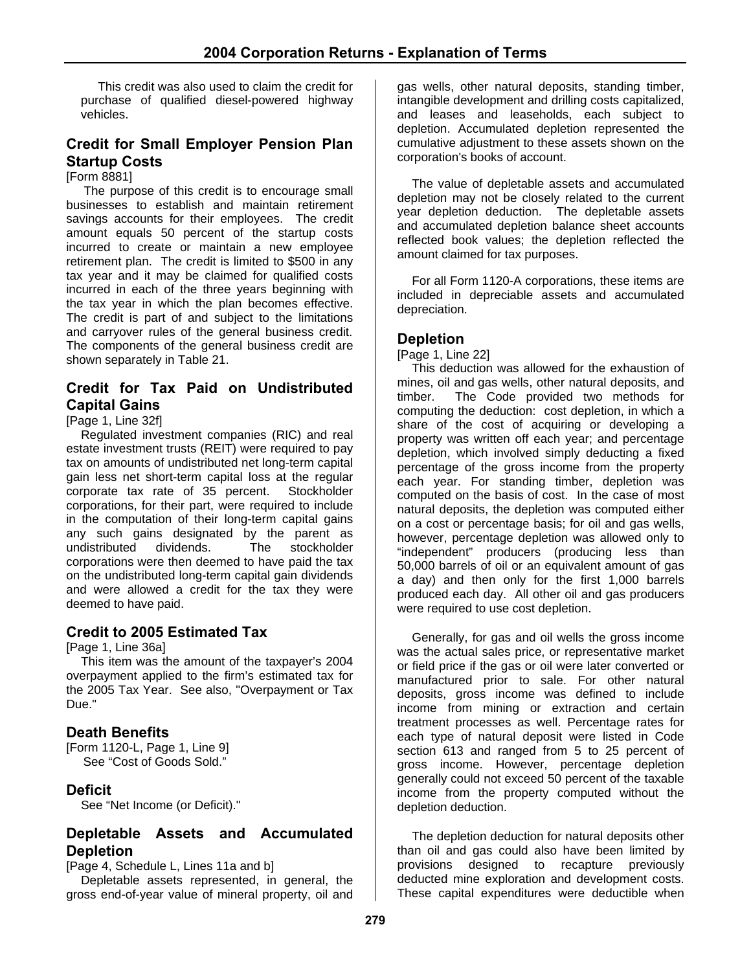This credit was also used to claim the credit for purchase of qualified diesel-powered highway vehicles.

# **Credit for Small Employer Pension Plan Startup Costs**

#### [Form 8881]

The purpose of this credit is to encourage small businesses to establish and maintain retirement savings accounts for their employees. The credit amount equals 50 percent of the startup costs incurred to create or maintain a new employee retirement plan. The credit is limited to \$500 in any tax year and it may be claimed for qualified costs incurred in each of the three years beginning with the tax year in which the plan becomes effective. The credit is part of and subject to the limitations and carryover rules of the general business credit. The components of the general business credit are shown separately in Table 21.

# **Credit for Tax Paid on Undistributed Capital Gains**

#### [Page 1, Line 32f]

Regulated investment companies (RIC) and real estate investment trusts (REIT) were required to pay tax on amounts of undistributed net long-term capital gain less net short-term capital loss at the regular corporate tax rate of 35 percent. Stockholder corporations, for their part, were required to include in the computation of their long-term capital gains any such gains designated by the parent as undistributed dividends. The stockholder corporations were then deemed to have paid the tax on the undistributed long-term capital gain dividends and were allowed a credit for the tax they were deemed to have paid.

#### **Credit to 2005 Estimated Tax**

[Page 1, Line 36a]

This item was the amount of the taxpayer's 2004 overpayment applied to the firm's estimated tax for the 2005 Tax Year. See also, "Overpayment or Tax Due."

#### **Death Benefits**

[Form 1120-L, Page 1, Line 9] See "Cost of Goods Sold."

#### **Deficit**

See "Net Income (or Deficit)."

#### **Depletable Assets and Accumulated Depletion**

[Page 4, Schedule L, Lines 11a and b]

Depletable assets represented, in general, the gross end-of-year value of mineral property, oil and gas wells, other natural deposits, standing timber, intangible development and drilling costs capitalized, and leases and leaseholds, each subject to depletion. Accumulated depletion represented the cumulative adjustment to these assets shown on the corporation's books of account.

The value of depletable assets and accumulated depletion may not be closely related to the current year depletion deduction. The depletable assets and accumulated depletion balance sheet accounts reflected book values; the depletion reflected the amount claimed for tax purposes.

For all Form 1120-A corporations, these items are included in depreciable assets and accumulated depreciation.

#### **Depletion**

#### [Page 1, Line 22]

This deduction was allowed for the exhaustion of mines, oil and gas wells, other natural deposits, and timber. The Code provided two methods for computing the deduction: cost depletion, in which a share of the cost of acquiring or developing a property was written off each year; and percentage depletion, which involved simply deducting a fixed percentage of the gross income from the property each year. For standing timber, depletion was computed on the basis of cost. In the case of most natural deposits, the depletion was computed either on a cost or percentage basis; for oil and gas wells, however, percentage depletion was allowed only to "independent" producers (producing less than 50,000 barrels of oil or an equivalent amount of gas a day) and then only for the first 1,000 barrels produced each day. All other oil and gas producers were required to use cost depletion.

Generally, for gas and oil wells the gross income was the actual sales price, or representative market or field price if the gas or oil were later converted or manufactured prior to sale. For other natural deposits, gross income was defined to include income from mining or extraction and certain treatment processes as well. Percentage rates for each type of natural deposit were listed in Code section 613 and ranged from 5 to 25 percent of gross income. However, percentage depletion generally could not exceed 50 percent of the taxable income from the property computed without the depletion deduction.

The depletion deduction for natural deposits other than oil and gas could also have been limited by provisions designed to recapture previously deducted mine exploration and development costs. These capital expenditures were deductible when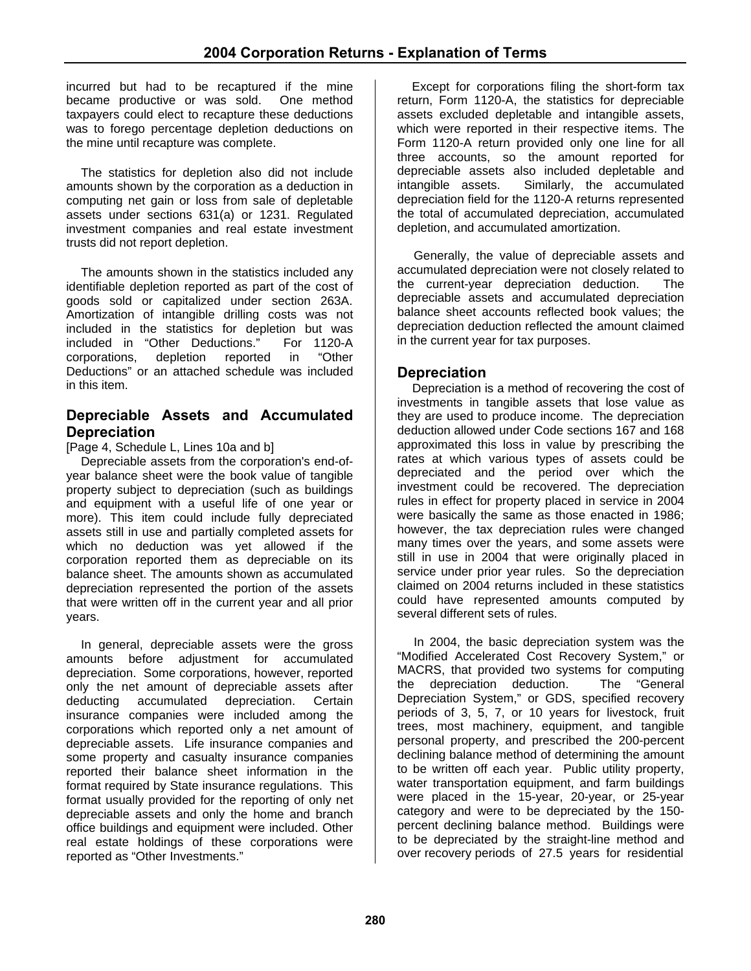incurred but had to be recaptured if the mine became productive or was sold. One method taxpayers could elect to recapture these deductions was to forego percentage depletion deductions on the mine until recapture was complete.

The statistics for depletion also did not include amounts shown by the corporation as a deduction in computing net gain or loss from sale of depletable assets under sections 631(a) or 1231. Regulated investment companies and real estate investment trusts did not report depletion.

The amounts shown in the statistics included any identifiable depletion reported as part of the cost of goods sold or capitalized under section 263A. Amortization of intangible drilling costs was not included in the statistics for depletion but was included in "Other Deductions." For 1120-A corporations, depletion reported in "Other Deductions" or an attached schedule was included in this item.

#### **Depreciable Assets and Accumulated Depreciation**

[Page 4, Schedule L, Lines 10a and b]

Depreciable assets from the corporation's end-ofyear balance sheet were the book value of tangible property subject to depreciation (such as buildings and equipment with a useful life of one year or more). This item could include fully depreciated assets still in use and partially completed assets for which no deduction was yet allowed if the corporation reported them as depreciable on its balance sheet. The amounts shown as accumulated depreciation represented the portion of the assets that were written off in the current year and all prior years.

In general, depreciable assets were the gross amounts before adjustment for accumulated depreciation. Some corporations, however, reported only the net amount of depreciable assets after deducting accumulated depreciation. Certain insurance companies were included among the corporations which reported only a net amount of depreciable assets. Life insurance companies and some property and casualty insurance companies reported their balance sheet information in the format required by State insurance regulations. This format usually provided for the reporting of only net depreciable assets and only the home and branch office buildings and equipment were included. Other real estate holdings of these corporations were reported as "Other Investments."

Except for corporations filing the short-form tax return, Form 1120-A, the statistics for depreciable assets excluded depletable and intangible assets, which were reported in their respective items. The Form 1120-A return provided only one line for all three accounts, so the amount reported for depreciable assets also included depletable and intangible assets. Similarly, the accumulated depreciation field for the 1120-A returns represented the total of accumulated depreciation, accumulated depletion, and accumulated amortization.

Generally, the value of depreciable assets and accumulated depreciation were not closely related to the current-year depreciation deduction. The depreciable assets and accumulated depreciation balance sheet accounts reflected book values; the depreciation deduction reflected the amount claimed in the current year for tax purposes.

# **Depreciation**

Depreciation is a method of recovering the cost of investments in tangible assets that lose value as they are used to produce income. The depreciation deduction allowed under Code sections 167 and 168 approximated this loss in value by prescribing the rates at which various types of assets could be depreciated and the period over which the investment could be recovered. The depreciation rules in effect for property placed in service in 2004 were basically the same as those enacted in 1986; however, the tax depreciation rules were changed many times over the years, and some assets were still in use in 2004 that were originally placed in service under prior year rules. So the depreciation claimed on 2004 returns included in these statistics could have represented amounts computed by several different sets of rules.

In 2004, the basic depreciation system was the "Modified Accelerated Cost Recovery System," or MACRS, that provided two systems for computing the depreciation deduction. The "General Depreciation System," or GDS, specified recovery periods of 3, 5, 7, or 10 years for livestock, fruit trees, most machinery, equipment, and tangible personal property, and prescribed the 200-percent declining balance method of determining the amount to be written off each year. Public utility property, water transportation equipment, and farm buildings were placed in the 15-year, 20-year, or 25-year category and were to be depreciated by the 150 percent declining balance method. Buildings were to be depreciated by the straight-line method and over recovery periods of 27.5 years for residential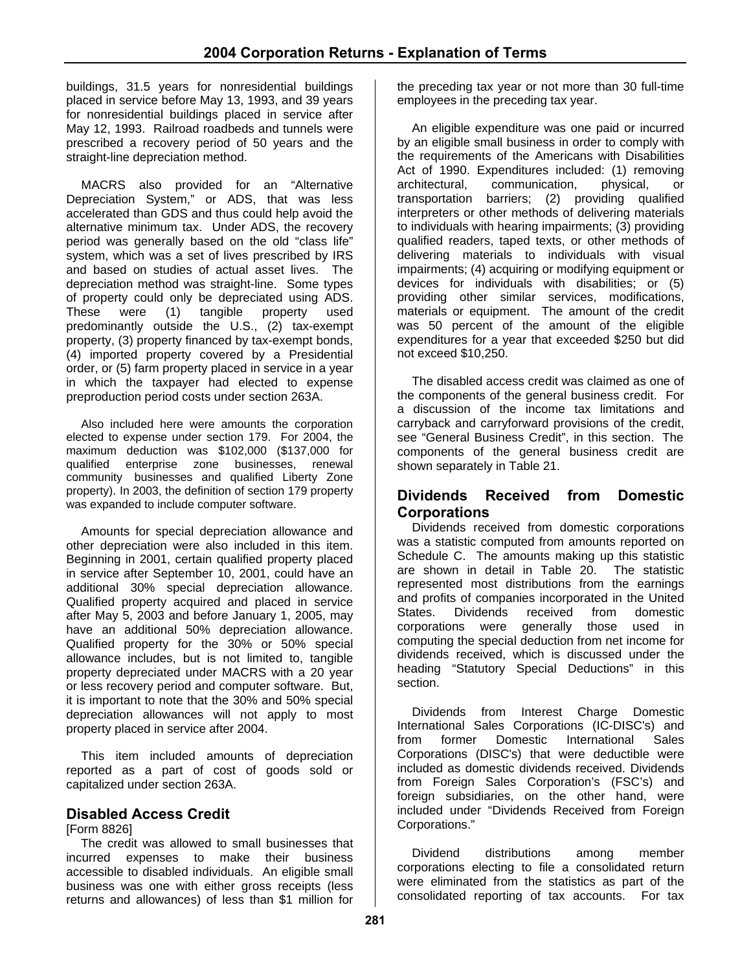buildings, 31.5 years for nonresidential buildings placed in service before May 13, 1993, and 39 years for nonresidential buildings placed in service after May 12, 1993. Railroad roadbeds and tunnels were prescribed a recovery period of 50 years and the straight-line depreciation method.

MACRS also provided for an "Alternative Depreciation System," or ADS, that was less accelerated than GDS and thus could help avoid the alternative minimum tax. Under ADS, the recovery period was generally based on the old "class life" system, which was a set of lives prescribed by IRS and based on studies of actual asset lives. The depreciation method was straight-line. Some types of property could only be depreciated using ADS.<br>These were (1) tangible property used These were (1) tangible property used predominantly outside the U.S., (2) tax-exempt property, (3) property financed by tax-exempt bonds, (4) imported property covered by a Presidential order, or (5) farm property placed in service in a year in which the taxpayer had elected to expense preproduction period costs under section 263A.

Also included here were amounts the corporation elected to expense under section 179. For 2004, the maximum deduction was \$102,000 (\$137,000 for qualified enterprise zone businesses, renewal community businesses and qualified Liberty Zone property). In 2003, the definition of section 179 property was expanded to include computer software.

Amounts for special depreciation allowance and other depreciation were also included in this item. Beginning in 2001, certain qualified property placed in service after September 10, 2001, could have an additional 30% special depreciation allowance. Qualified property acquired and placed in service after May 5, 2003 and before January 1, 2005, may have an additional 50% depreciation allowance. Qualified property for the 30% or 50% special allowance includes, but is not limited to, tangible property depreciated under MACRS with a 20 year or less recovery period and computer software. But, it is important to note that the 30% and 50% special depreciation allowances will not apply to most property placed in service after 2004.

This item included amounts of depreciation reported as a part of cost of goods sold or capitalized under section 263A.

#### **Disabled Access Credit**

[Form 8826]

The credit was allowed to small businesses that incurred expenses to make their business accessible to disabled individuals. An eligible small business was one with either gross receipts (less returns and allowances) of less than \$1 million for

the preceding tax year or not more than 30 full-time employees in the preceding tax year.

An eligible expenditure was one paid or incurred by an eligible small business in order to comply with the requirements of the Americans with Disabilities Act of 1990. Expenditures included: (1) removing architectural, communication, physical, or transportation barriers; (2) providing qualified interpreters or other methods of delivering materials to individuals with hearing impairments; (3) providing qualified readers, taped texts, or other methods of delivering materials to individuals with visual impairments; (4) acquiring or modifying equipment or devices for individuals with disabilities; or (5) providing other similar services, modifications, materials or equipment. The amount of the credit was 50 percent of the amount of the eligible expenditures for a year that exceeded \$250 but did not exceed \$10,250.

The disabled access credit was claimed as one of the components of the general business credit. For a discussion of the income tax limitations and carryback and carryforward provisions of the credit, see "General Business Credit", in this section. The components of the general business credit are shown separately in Table 21.

#### **Dividends Received from Domestic Corporations**

Dividends received from domestic corporations was a statistic computed from amounts reported on Schedule C. The amounts making up this statistic are shown in detail in Table 20. The statistic represented most distributions from the earnings and profits of companies incorporated in the United States. Dividends received from domestic<br>corporations were generally those used in corporations were generally computing the special deduction from net income for dividends received, which is discussed under the heading "Statutory Special Deductions" in this section.

Dividends from Interest Charge Domestic International Sales Corporations (IC-DISC's) and from former Domestic International Sales Corporations (DISC's) that were deductible were included as domestic dividends received. Dividends from Foreign Sales Corporation's (FSC's) and foreign subsidiaries, on the other hand, were included under "Dividends Received from Foreign Corporations."

Dividend distributions among member corporations electing to file a consolidated return were eliminated from the statistics as part of the consolidated reporting of tax accounts. For tax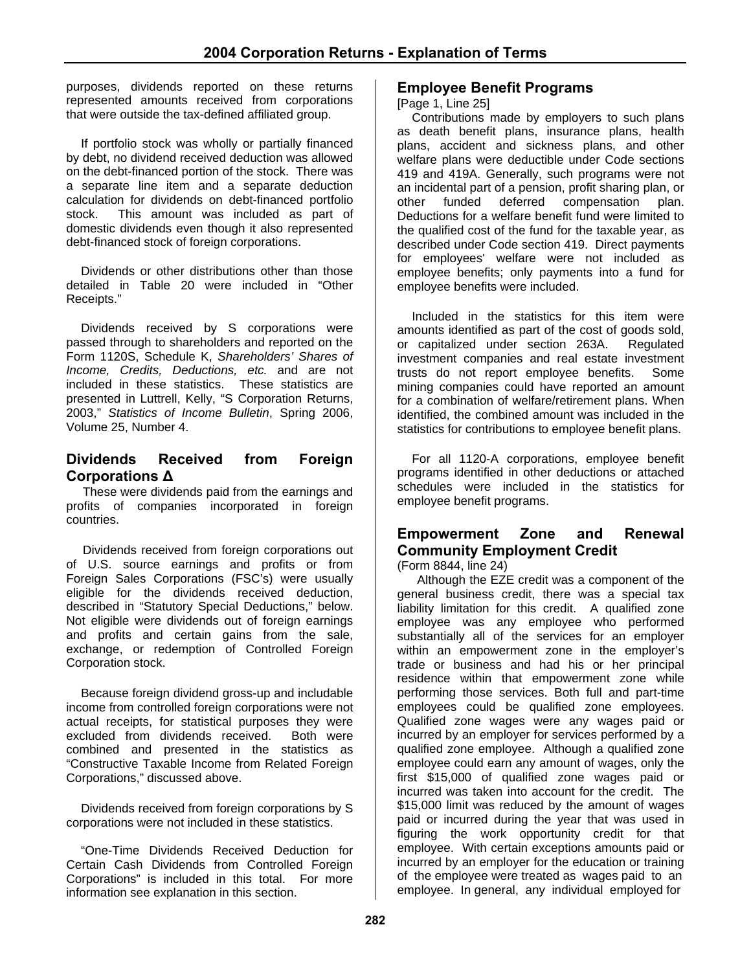purposes, dividends reported on these returns represented amounts received from corporations that were outside the tax-defined affiliated group.

If portfolio stock was wholly or partially financed by debt, no dividend received deduction was allowed on the debt-financed portion of the stock. There was a separate line item and a separate deduction calculation for dividends on debt-financed portfolio stock. This amount was included as part of domestic dividends even though it also represented debt-financed stock of foreign corporations.

Dividends or other distributions other than those detailed in Table 20 were included in "Other Receipts."

Dividends received by S corporations were passed through to shareholders and reported on the Form 1120S, Schedule K, *Shareholders' Shares of Income, Credits, Deductions, etc.* and are not included in these statistics. These statistics are presented in Luttrell, Kelly, "S Corporation Returns, 2003," *Statistics of Income Bulletin*, Spring 2006, Volume 25, Number 4.

# **Dividends Received from Foreign Corporations Δ**

These were dividends paid from the earnings and profits of companies incorporated in foreign countries.

Dividends received from foreign corporations out of U.S. source earnings and profits or from Foreign Sales Corporations (FSC's) were usually eligible for the dividends received deduction, described in "Statutory Special Deductions," below. Not eligible were dividends out of foreign earnings and profits and certain gains from the sale, exchange, or redemption of Controlled Foreign Corporation stock.

Because foreign dividend gross-up and includable income from controlled foreign corporations were not actual receipts, for statistical purposes they were excluded from dividends received. Both were combined and presented in the statistics as "Constructive Taxable Income from Related Foreign Corporations," discussed above.

Dividends received from foreign corporations by S corporations were not included in these statistics.

"One-Time Dividends Received Deduction for Certain Cash Dividends from Controlled Foreign Corporations" is included in this total. For more information see explanation in this section.

### **Employee Benefit Programs**

[Page 1, Line 25]

Contributions made by employers to such plans as death benefit plans, insurance plans, health plans, accident and sickness plans, and other welfare plans were deductible under Code sections 419 and 419A. Generally, such programs were not an incidental part of a pension, profit sharing plan, or<br>other funded deferred compensation plan. other funded deferred compensation plan. Deductions for a welfare benefit fund were limited to the qualified cost of the fund for the taxable year, as described under Code section 419. Direct payments for employees' welfare were not included as employee benefits; only payments into a fund for employee benefits were included.

Included in the statistics for this item were amounts identified as part of the cost of goods sold, or capitalized under section 263A. Regulated investment companies and real estate investment trusts do not report employee benefits. Some mining companies could have reported an amount for a combination of welfare/retirement plans. When identified, the combined amount was included in the statistics for contributions to employee benefit plans.

For all 1120-A corporations, employee benefit programs identified in other deductions or attached schedules were included in the statistics for employee benefit programs.

# **Empowerment Zone and Renewal Community Employment Credit**

(Form 8844, line 24)

 Although the EZE credit was a component of the general business credit, there was a special tax liability limitation for this credit. A qualified zone employee was any employee who performed substantially all of the services for an employer within an empowerment zone in the employer's trade or business and had his or her principal residence within that empowerment zone while performing those services. Both full and part-time employees could be qualified zone employees. Qualified zone wages were any wages paid or incurred by an employer for services performed by a qualified zone employee. Although a qualified zone employee could earn any amount of wages, only the first \$15,000 of qualified zone wages paid or incurred was taken into account for the credit. The \$15,000 limit was reduced by the amount of wages paid or incurred during the year that was used in figuring the work opportunity credit for that employee. With certain exceptions amounts paid or incurred by an employer for the education or training of the employee were treated as wages paid to an employee. In general, any individual employed for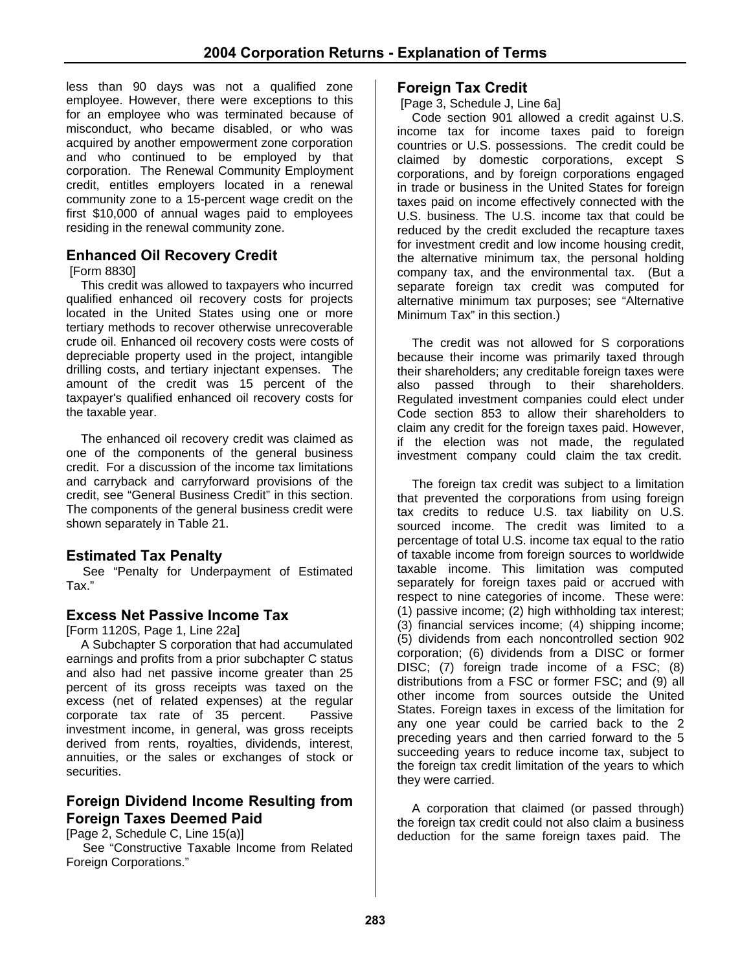less than 90 days was not a qualified zone employee. However, there were exceptions to this for an employee who was terminated because of misconduct, who became disabled, or who was acquired by another empowerment zone corporation and who continued to be employed by that corporation. The Renewal Community Employment credit, entitles employers located in a renewal community zone to a 15-percent wage credit on the first \$10,000 of annual wages paid to employees residing in the renewal community zone.

# **Enhanced Oil Recovery Credit**

[Form 8830]

This credit was allowed to taxpayers who incurred qualified enhanced oil recovery costs for projects located in the United States using one or more tertiary methods to recover otherwise unrecoverable crude oil. Enhanced oil recovery costs were costs of depreciable property used in the project, intangible drilling costs, and tertiary injectant expenses. The amount of the credit was 15 percent of the taxpayer's qualified enhanced oil recovery costs for the taxable year.

The enhanced oil recovery credit was claimed as one of the components of the general business credit. For a discussion of the income tax limitations and carryback and carryforward provisions of the credit, see "General Business Credit" in this section. The components of the general business credit were shown separately in Table 21.

#### **Estimated Tax Penalty**

See "Penalty for Underpayment of Estimated Tax."

#### **Excess Net Passive Income Tax**

[Form 1120S, Page 1, Line 22a]

A Subchapter S corporation that had accumulated earnings and profits from a prior subchapter C status and also had net passive income greater than 25 percent of its gross receipts was taxed on the excess (net of related expenses) at the regular corporate tax rate of 35 percent. Passive investment income, in general, was gross receipts derived from rents, royalties, dividends, interest, annuities, or the sales or exchanges of stock or securities.

# **Foreign Dividend Income Resulting from Foreign Taxes Deemed Paid**

[Page 2, Schedule C, Line 15(a)]

See "Constructive Taxable Income from Related Foreign Corporations."

#### **Foreign Tax Credit**

[Page 3, Schedule J, Line 6a]

Code section 901 allowed a credit against U.S. income tax for income taxes paid to foreign countries or U.S. possessions. The credit could be claimed by domestic corporations, except S corporations, and by foreign corporations engaged in trade or business in the United States for foreign taxes paid on income effectively connected with the U.S. business. The U.S. income tax that could be reduced by the credit excluded the recapture taxes for investment credit and low income housing credit, the alternative minimum tax, the personal holding company tax, and the environmental tax. (But a separate foreign tax credit was computed for alternative minimum tax purposes; see "Alternative Minimum Tax" in this section.)

The credit was not allowed for S corporations because their income was primarily taxed through their shareholders; any creditable foreign taxes were also passed through to their shareholders. Regulated investment companies could elect under Code section 853 to allow their shareholders to claim any credit for the foreign taxes paid. However, if the election was not made, the regulated investment company could claim the tax credit.

The foreign tax credit was subject to a limitation that prevented the corporations from using foreign tax credits to reduce U.S. tax liability on U.S. sourced income. The credit was limited to a percentage of total U.S. income tax equal to the ratio of taxable income from foreign sources to worldwide taxable income. This limitation was computed separately for foreign taxes paid or accrued with respect to nine categories of income. These were: (1) passive income; (2) high withholding tax interest; (3) financial services income; (4) shipping income; (5) dividends from each noncontrolled section 902 corporation; (6) dividends from a DISC or former DISC; (7) foreign trade income of a FSC; (8) distributions from a FSC or former FSC; and (9) all other income from sources outside the United States. Foreign taxes in excess of the limitation for any one year could be carried back to the 2 preceding years and then carried forward to the 5 succeeding years to reduce income tax, subject to the foreign tax credit limitation of the years to which they were carried.

A corporation that claimed (or passed through) the foreign tax credit could not also claim a business deduction for the same foreign taxes paid. The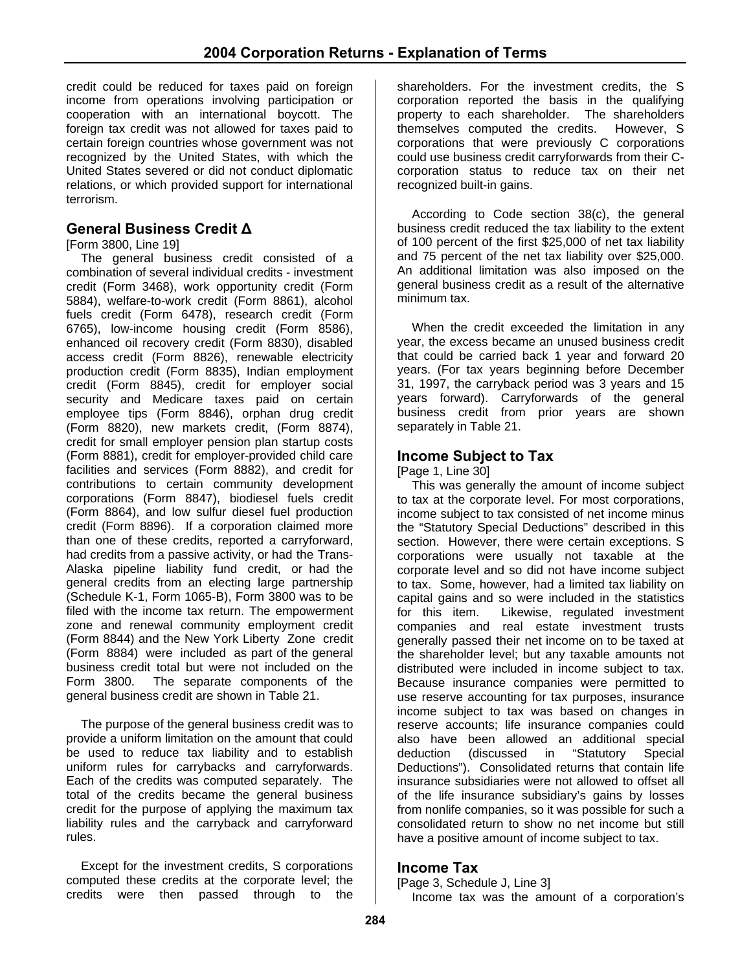credit could be reduced for taxes paid on foreign income from operations involving participation or cooperation with an international boycott. The foreign tax credit was not allowed for taxes paid to certain foreign countries whose government was not recognized by the United States, with which the United States severed or did not conduct diplomatic relations, or which provided support for international terrorism.

# **General Business Credit Δ**

[Form 3800, Line 19]

The general business credit consisted of a combination of several individual credits - investment credit (Form 3468), work opportunity credit (Form 5884), welfare-to-work credit (Form 8861), alcohol fuels credit (Form 6478), research credit (Form 6765), low-income housing credit (Form 8586), enhanced oil recovery credit (Form 8830), disabled access credit (Form 8826), renewable electricity production credit (Form 8835), Indian employment credit (Form 8845), credit for employer social security and Medicare taxes paid on certain employee tips (Form 8846), orphan drug credit (Form 8820), new markets credit, (Form 8874), credit for small employer pension plan startup costs (Form 8881), credit for employer-provided child care facilities and services (Form 8882), and credit for contributions to certain community development corporations (Form 8847), biodiesel fuels credit (Form 8864), and low sulfur diesel fuel production credit (Form 8896). If a corporation claimed more than one of these credits, reported a carryforward, had credits from a passive activity, or had the Trans-Alaska pipeline liability fund credit, or had the general credits from an electing large partnership (Schedule K-1, Form 1065-B), Form 3800 was to be filed with the income tax return. The empowerment zone and renewal community employment credit (Form 8844) and the New York Liberty Zone credit (Form 8884) were included as part of the general business credit total but were not included on the Form 3800. The separate components of the general business credit are shown in Table 21.

The purpose of the general business credit was to provide a uniform limitation on the amount that could be used to reduce tax liability and to establish uniform rules for carrybacks and carryforwards. Each of the credits was computed separately. The total of the credits became the general business credit for the purpose of applying the maximum tax liability rules and the carryback and carryforward rules.

Except for the investment credits, S corporations computed these credits at the corporate level; the credits were then passed through to the

shareholders. For the investment credits, the S corporation reported the basis in the qualifying property to each shareholder. The shareholders themselves computed the credits. However, S corporations that were previously C corporations could use business credit carryforwards from their Ccorporation status to reduce tax on their net recognized built-in gains.

According to Code section 38(c), the general business credit reduced the tax liability to the extent of 100 percent of the first \$25,000 of net tax liability and 75 percent of the net tax liability over \$25,000. An additional limitation was also imposed on the general business credit as a result of the alternative minimum tax.

When the credit exceeded the limitation in any year, the excess became an unused business credit that could be carried back 1 year and forward 20 years. (For tax years beginning before December 31, 1997, the carryback period was 3 years and 15 years forward). Carryforwards of the general business credit from prior years are shown separately in Table 21.

# **Income Subject to Tax**

[Page 1, Line 30]

This was generally the amount of income subject to tax at the corporate level. For most corporations, income subject to tax consisted of net income minus the "Statutory Special Deductions" described in this section. However, there were certain exceptions. S corporations were usually not taxable at the corporate level and so did not have income subject to tax. Some, however, had a limited tax liability on capital gains and so were included in the statistics for this item. Likewise, regulated investment companies and real estate investment trusts generally passed their net income on to be taxed at the shareholder level; but any taxable amounts not distributed were included in income subject to tax. Because insurance companies were permitted to use reserve accounting for tax purposes, insurance income subject to tax was based on changes in reserve accounts; life insurance companies could also have been allowed an additional special deduction (discussed in "Statutory Special Deductions"). Consolidated returns that contain life insurance subsidiaries were not allowed to offset all of the life insurance subsidiary's gains by losses from nonlife companies, so it was possible for such a consolidated return to show no net income but still have a positive amount of income subject to tax.

#### **Income Tax**

[Page 3, Schedule J, Line 3]

Income tax was the amount of a corporation's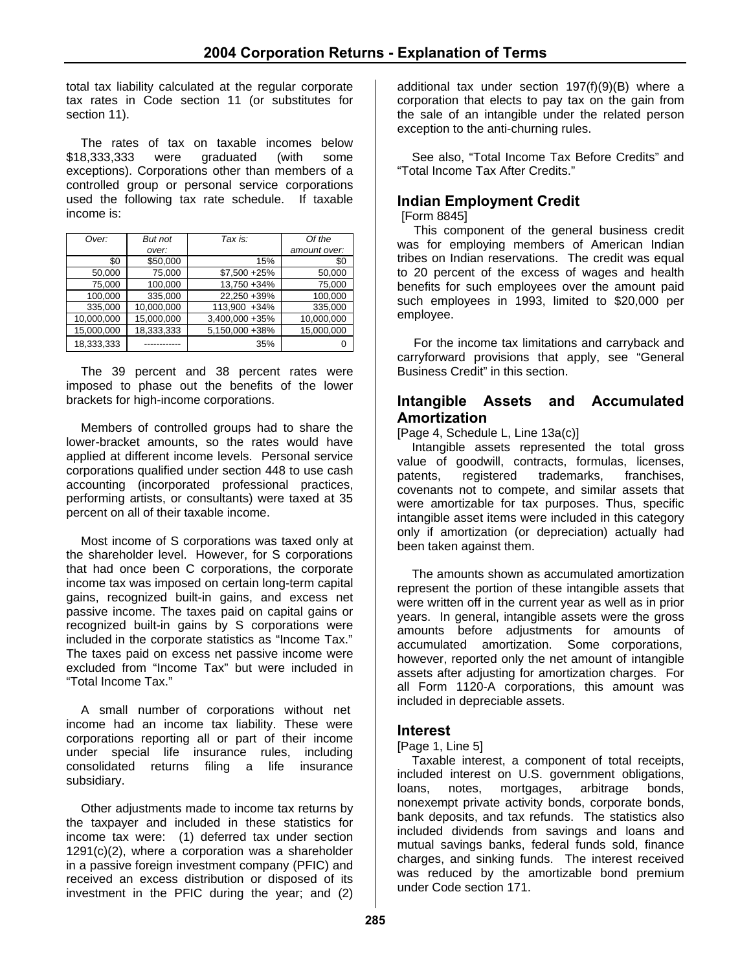total tax liability calculated at the regular corporate tax rates in Code section 11 (or substitutes for section 11).

The rates of tax on taxable incomes below \$18,333,333 were graduated (with some exceptions). Corporations other than members of a controlled group or personal service corporations used the following tax rate schedule. If taxable income is:

| Over:      | But not    | Tax is:         | Of the       |
|------------|------------|-----------------|--------------|
|            | over:      |                 | amount over: |
| \$0        | \$50,000   | 15%             | \$0          |
| 50,000     | 75,000     | $$7,500 + 25\%$ | 50,000       |
| 75,000     | 100,000    | 13,750 +34%     | 75,000       |
| 100,000    | 335,000    | 22.250 +39%     | 100,000      |
| 335,000    | 10,000,000 | 113.900 +34%    | 335,000      |
| 10,000,000 | 15,000,000 | 3,400,000 + 35% | 10,000,000   |
| 15,000,000 | 18,333,333 | 5,150,000 +38%  | 15,000,000   |
| 18,333,333 |            | 35%             | ი            |

The 39 percent and 38 percent rates were imposed to phase out the benefits of the lower brackets for high-income corporations.

Members of controlled groups had to share the lower-bracket amounts, so the rates would have applied at different income levels. Personal service corporations qualified under section 448 to use cash accounting (incorporated professional practices, performing artists, or consultants) were taxed at 35 percent on all of their taxable income.

Most income of S corporations was taxed only at the shareholder level. However, for S corporations that had once been C corporations, the corporate income tax was imposed on certain long-term capital gains, recognized built-in gains, and excess net passive income. The taxes paid on capital gains or recognized built-in gains by S corporations were included in the corporate statistics as "Income Tax." The taxes paid on excess net passive income were excluded from "Income Tax" but were included in "Total Income Tax."

A small number of corporations without net income had an income tax liability. These were corporations reporting all or part of their income under special life insurance rules, including consolidated returns filing a life insurance subsidiary.

Other adjustments made to income tax returns by the taxpayer and included in these statistics for income tax were: (1) deferred tax under section 1291(c)(2), where a corporation was a shareholder in a passive foreign investment company (PFIC) and received an excess distribution or disposed of its investment in the PFIC during the year; and (2)

additional tax under section 197(f)(9)(B) where a corporation that elects to pay tax on the gain from the sale of an intangible under the related person exception to the anti-churning rules.

See also, "Total Income Tax Before Credits" and "Total Income Tax After Credits."

# **Indian Employment Credit**

[Form 8845]

This component of the general business credit was for employing members of American Indian tribes on Indian reservations. The credit was equal to 20 percent of the excess of wages and health benefits for such employees over the amount paid such employees in 1993, limited to \$20,000 per employee.

For the income tax limitations and carryback and carryforward provisions that apply, see "General Business Credit" in this section.

#### **Intangible Assets and Accumulated Amortization**

[Page 4, Schedule L, Line 13a(c)]

Intangible assets represented the total gross value of goodwill, contracts, formulas, licenses, patents, registered trademarks, franchises, covenants not to compete, and similar assets that were amortizable for tax purposes. Thus, specific intangible asset items were included in this category only if amortization (or depreciation) actually had been taken against them.

The amounts shown as accumulated amortization represent the portion of these intangible assets that were written off in the current year as well as in prior years. In general, intangible assets were the gross amounts before adjustments for amounts of accumulated amortization. Some corporations, however, reported only the net amount of intangible assets after adjusting for amortization charges. For all Form 1120-A corporations, this amount was included in depreciable assets.

#### **Interest**

#### [Page 1, Line 5]

Taxable interest, a component of total receipts, included interest on U.S. government obligations, loans, notes, mortgages, arbitrage bonds, nonexempt private activity bonds, corporate bonds, bank deposits, and tax refunds. The statistics also included dividends from savings and loans and mutual savings banks, federal funds sold, finance charges, and sinking funds. The interest received was reduced by the amortizable bond premium under Code section 171.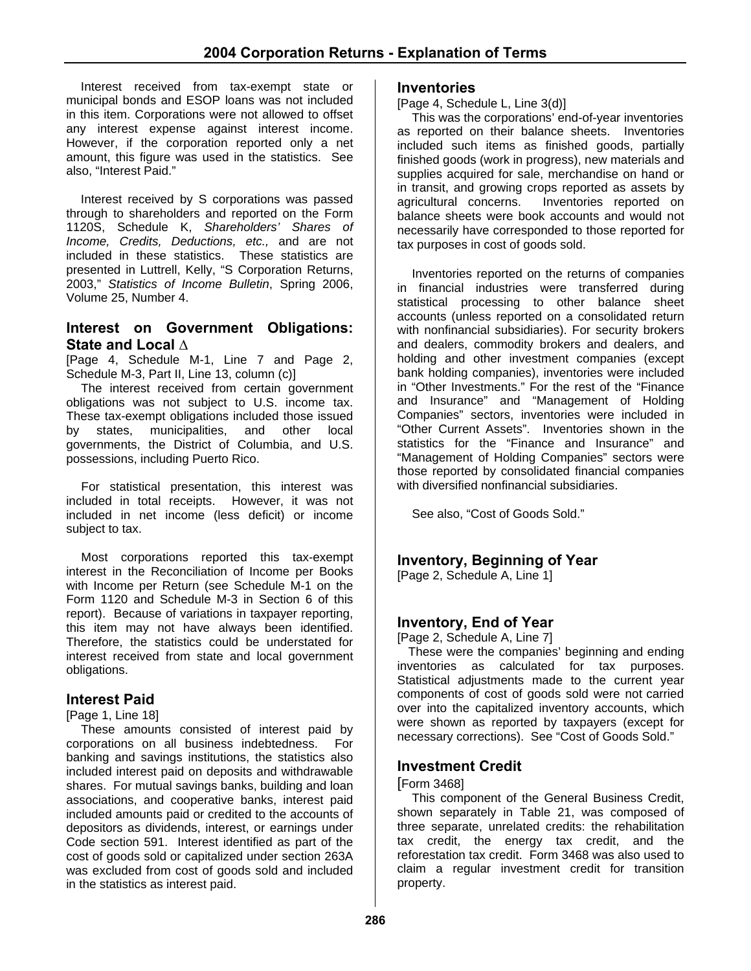Interest received from tax-exempt state or municipal bonds and ESOP loans was not included in this item. Corporations were not allowed to offset any interest expense against interest income. However, if the corporation reported only a net amount, this figure was used in the statistics. See also, "Interest Paid."

Interest received by S corporations was passed through to shareholders and reported on the Form 1120S, Schedule K, *Shareholders' Shares of Income, Credits, Deductions, etc.,* and are not included in these statistics. These statistics are presented in Luttrell, Kelly, "S Corporation Returns, 2003," *Statistics of Income Bulletin*, Spring 2006, Volume 25, Number 4.

#### **Interest on Government Obligations: State and Local ∆**

[Page 4, Schedule M-1, Line 7 and Page 2, Schedule M-3, Part II, Line 13, column (c)]

The interest received from certain government obligations was not subject to U.S. income tax. These tax-exempt obligations included those issued by states, municipalities, and other local governments, the District of Columbia, and U.S. possessions, including Puerto Rico.

For statistical presentation, this interest was included in total receipts. However, it was not included in net income (less deficit) or income subject to tax.

Most corporations reported this tax-exempt interest in the Reconciliation of Income per Books with Income per Return (see Schedule M-1 on the Form 1120 and Schedule M-3 in Section 6 of this report). Because of variations in taxpayer reporting, this item may not have always been identified. Therefore, the statistics could be understated for interest received from state and local government obligations.

#### **Interest Paid**

#### [Page 1, Line 18]

These amounts consisted of interest paid by corporations on all business indebtedness. For banking and savings institutions, the statistics also included interest paid on deposits and withdrawable shares. For mutual savings banks, building and loan associations, and cooperative banks, interest paid included amounts paid or credited to the accounts of depositors as dividends, interest, or earnings under Code section 591. Interest identified as part of the cost of goods sold or capitalized under section 263A was excluded from cost of goods sold and included in the statistics as interest paid.

#### **Inventories**

[Page 4, Schedule L, Line 3(d)]

This was the corporations' end-of-year inventories as reported on their balance sheets. Inventories included such items as finished goods, partially finished goods (work in progress), new materials and supplies acquired for sale, merchandise on hand or in transit, and growing crops reported as assets by agricultural concerns. Inventories reported on balance sheets were book accounts and would not necessarily have corresponded to those reported for tax purposes in cost of goods sold.

Inventories reported on the returns of companies in financial industries were transferred during statistical processing to other balance sheet accounts (unless reported on a consolidated return with nonfinancial subsidiaries). For security brokers and dealers, commodity brokers and dealers, and holding and other investment companies (except bank holding companies), inventories were included in "Other Investments." For the rest of the "Finance and Insurance" and "Management of Holding Companies" sectors, inventories were included in "Other Current Assets". Inventories shown in the statistics for the "Finance and Insurance" and "Management of Holding Companies" sectors were those reported by consolidated financial companies with diversified nonfinancial subsidiaries.

See also, "Cost of Goods Sold."

#### **Inventory, Beginning of Year**

[Page 2, Schedule A, Line 1]

#### **Inventory, End of Year**

[Page 2, Schedule A, Line 7]

These were the companies' beginning and ending inventories as calculated for tax purposes. Statistical adjustments made to the current year components of cost of goods sold were not carried over into the capitalized inventory accounts, which were shown as reported by taxpayers (except for necessary corrections). See "Cost of Goods Sold."

#### **Investment Credit**

#### [Form 3468]

This component of the General Business Credit, shown separately in Table 21, was composed of three separate, unrelated credits: the rehabilitation tax credit, the energy tax credit, and the reforestation tax credit. Form 3468 was also used to claim a regular investment credit for transition property.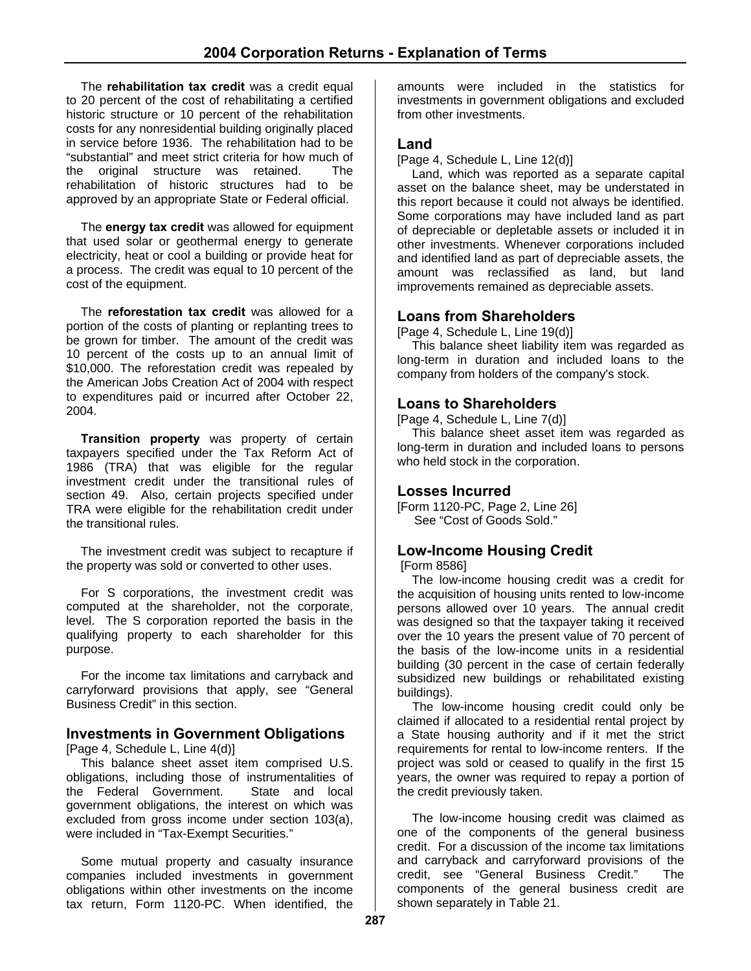The **rehabilitation tax credit** was a credit equal to 20 percent of the cost of rehabilitating a certified historic structure or 10 percent of the rehabilitation costs for any nonresidential building originally placed in service before 1936. The rehabilitation had to be "substantial" and meet strict criteria for how much of the original structure was retained. The rehabilitation of historic structures had to be approved by an appropriate State or Federal official.

The **energy tax credit** was allowed for equipment that used solar or geothermal energy to generate electricity, heat or cool a building or provide heat for a process. The credit was equal to 10 percent of the cost of the equipment.

The **reforestation tax credit** was allowed for a portion of the costs of planting or replanting trees to be grown for timber. The amount of the credit was 10 percent of the costs up to an annual limit of \$10,000. The reforestation credit was repealed by the American Jobs Creation Act of 2004 with respect to expenditures paid or incurred after October 22, 2004.

**Transition property** was property of certain taxpayers specified under the Tax Reform Act of 1986 (TRA) that was eligible for the regular investment credit under the transitional rules of section 49. Also, certain projects specified under TRA were eligible for the rehabilitation credit under the transitional rules.

The investment credit was subject to recapture if the property was sold or converted to other uses.

For S corporations, the investment credit was computed at the shareholder, not the corporate, level. The S corporation reported the basis in the qualifying property to each shareholder for this purpose.

For the income tax limitations and carryback and carryforward provisions that apply, see "General Business Credit" in this section.

# **Investments in Government Obligations**

[Page 4, Schedule L, Line 4(d)]

This balance sheet asset item comprised U.S. obligations, including those of instrumentalities of the Federal Government. State and local government obligations, the interest on which was excluded from gross income under section 103(a), were included in "Tax-Exempt Securities."

Some mutual property and casualty insurance companies included investments in government obligations within other investments on the income tax return, Form 1120-PC. When identified, the

amounts were included in the statistics for investments in government obligations and excluded from other investments.

#### **Land**

[Page 4, Schedule L, Line 12(d)]

Land, which was reported as a separate capital asset on the balance sheet, may be understated in this report because it could not always be identified. Some corporations may have included land as part of depreciable or depletable assets or included it in other investments. Whenever corporations included and identified land as part of depreciable assets, the amount was reclassified as land, but land improvements remained as depreciable assets.

#### **Loans from Shareholders**

[Page 4, Schedule L, Line 19(d)]

This balance sheet liability item was regarded as long-term in duration and included loans to the company from holders of the company's stock.

#### **Loans to Shareholders**

[Page 4, Schedule L, Line 7(d)]

This balance sheet asset item was regarded as long-term in duration and included loans to persons who held stock in the corporation.

#### **Losses Incurred**

[Form 1120-PC, Page 2, Line 26] See "Cost of Goods Sold."

# **Low-Income Housing Credit**

[Form 8586]

The low-income housing credit was a credit for the acquisition of housing units rented to low-income persons allowed over 10 years. The annual credit was designed so that the taxpayer taking it received over the 10 years the present value of 70 percent of the basis of the low-income units in a residential building (30 percent in the case of certain federally subsidized new buildings or rehabilitated existing buildings).

The low-income housing credit could only be claimed if allocated to a residential rental project by a State housing authority and if it met the strict requirements for rental to low-income renters. If the project was sold or ceased to qualify in the first 15 years, the owner was required to repay a portion of the credit previously taken.

The low-income housing credit was claimed as one of the components of the general business credit. For a discussion of the income tax limitations and carryback and carryforward provisions of the credit, see "General Business Credit." The components of the general business credit are shown separately in Table 21.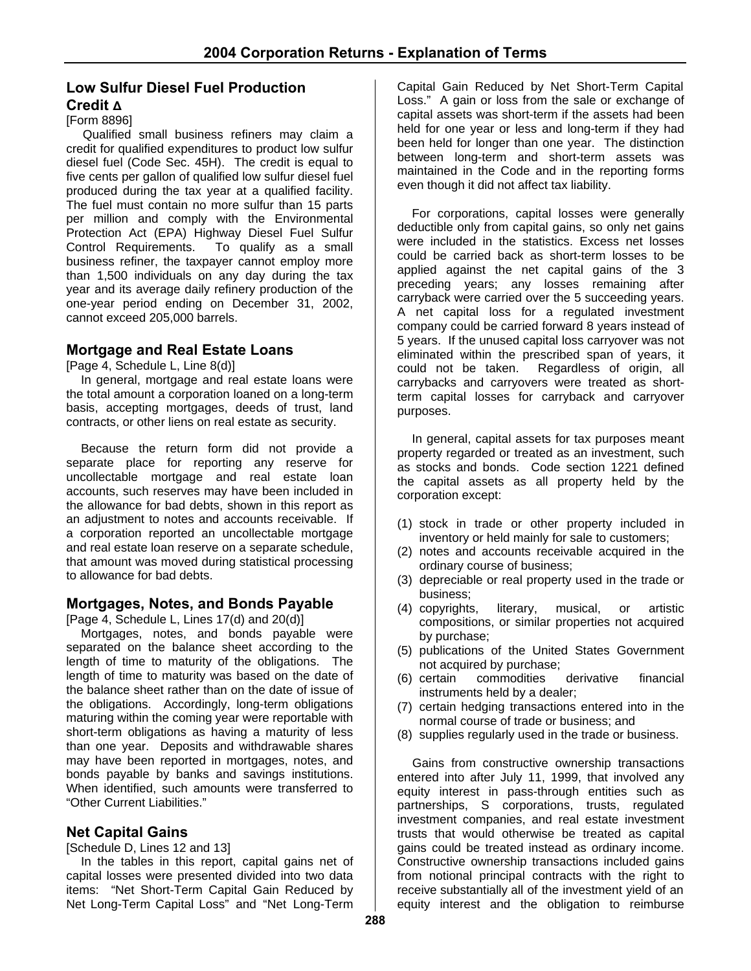# **Low Sulfur Diesel Fuel Production Credit Δ**

#### [Form 8896]

Qualified small business refiners may claim a credit for qualified expenditures to product low sulfur diesel fuel (Code Sec. 45H). The credit is equal to five cents per gallon of qualified low sulfur diesel fuel produced during the tax year at a qualified facility. The fuel must contain no more sulfur than 15 parts per million and comply with the Environmental Protection Act (EPA) Highway Diesel Fuel Sulfur Control Requirements. To qualify as a small business refiner, the taxpayer cannot employ more than 1,500 individuals on any day during the tax year and its average daily refinery production of the one-year period ending on December 31, 2002, cannot exceed 205,000 barrels.

#### **Mortgage and Real Estate Loans**

[Page 4, Schedule L, Line 8(d)]

In general, mortgage and real estate loans were the total amount a corporation loaned on a long-term basis, accepting mortgages, deeds of trust, land contracts, or other liens on real estate as security.

Because the return form did not provide a separate place for reporting any reserve for uncollectable mortgage and real estate loan accounts, such reserves may have been included in the allowance for bad debts, shown in this report as an adjustment to notes and accounts receivable. If a corporation reported an uncollectable mortgage and real estate loan reserve on a separate schedule, that amount was moved during statistical processing to allowance for bad debts.

#### **Mortgages, Notes, and Bonds Payable**

[Page 4, Schedule L, Lines 17(d) and 20(d)]

Mortgages, notes, and bonds payable were separated on the balance sheet according to the length of time to maturity of the obligations. The length of time to maturity was based on the date of the balance sheet rather than on the date of issue of the obligations. Accordingly, long-term obligations maturing within the coming year were reportable with short-term obligations as having a maturity of less than one year. Deposits and withdrawable shares may have been reported in mortgages, notes, and bonds payable by banks and savings institutions. When identified, such amounts were transferred to "Other Current Liabilities."

#### **Net Capital Gains**

[Schedule D, Lines 12 and 13]

In the tables in this report, capital gains net of capital losses were presented divided into two data items: "Net Short-Term Capital Gain Reduced by Net Long-Term Capital Loss" and "Net Long-Term

Capital Gain Reduced by Net Short-Term Capital Loss." A gain or loss from the sale or exchange of capital assets was short-term if the assets had been held for one year or less and long-term if they had been held for longer than one year. The distinction between long-term and short-term assets was maintained in the Code and in the reporting forms even though it did not affect tax liability.

For corporations, capital losses were generally deductible only from capital gains, so only net gains were included in the statistics. Excess net losses could be carried back as short-term losses to be applied against the net capital gains of the 3 preceding years; any losses remaining after carryback were carried over the 5 succeeding years. A net capital loss for a regulated investment company could be carried forward 8 years instead of 5 years. If the unused capital loss carryover was not eliminated within the prescribed span of years, it could not be taken. Regardless of origin, all carrybacks and carryovers were treated as shortterm capital losses for carryback and carryover purposes.

In general, capital assets for tax purposes meant property regarded or treated as an investment, such as stocks and bonds. Code section 1221 defined the capital assets as all property held by the corporation except:

- (1) stock in trade or other property included in inventory or held mainly for sale to customers;
- (2) notes and accounts receivable acquired in the ordinary course of business;
- (3) depreciable or real property used in the trade or business;
- (4) copyrights, literary, musical, or artistic compositions, or similar properties not acquired by purchase;
- (5) publications of the United States Government not acquired by purchase;
- (6) certain commodities derivative financial instruments held by a dealer;
- (7) certain hedging transactions entered into in the normal course of trade or business; and
- (8) supplies regularly used in the trade or business.

Gains from constructive ownership transactions entered into after July 11, 1999, that involved any equity interest in pass-through entities such as partnerships, S corporations, trusts, regulated investment companies, and real estate investment trusts that would otherwise be treated as capital gains could be treated instead as ordinary income. Constructive ownership transactions included gains from notional principal contracts with the right to receive substantially all of the investment yield of an equity interest and the obligation to reimburse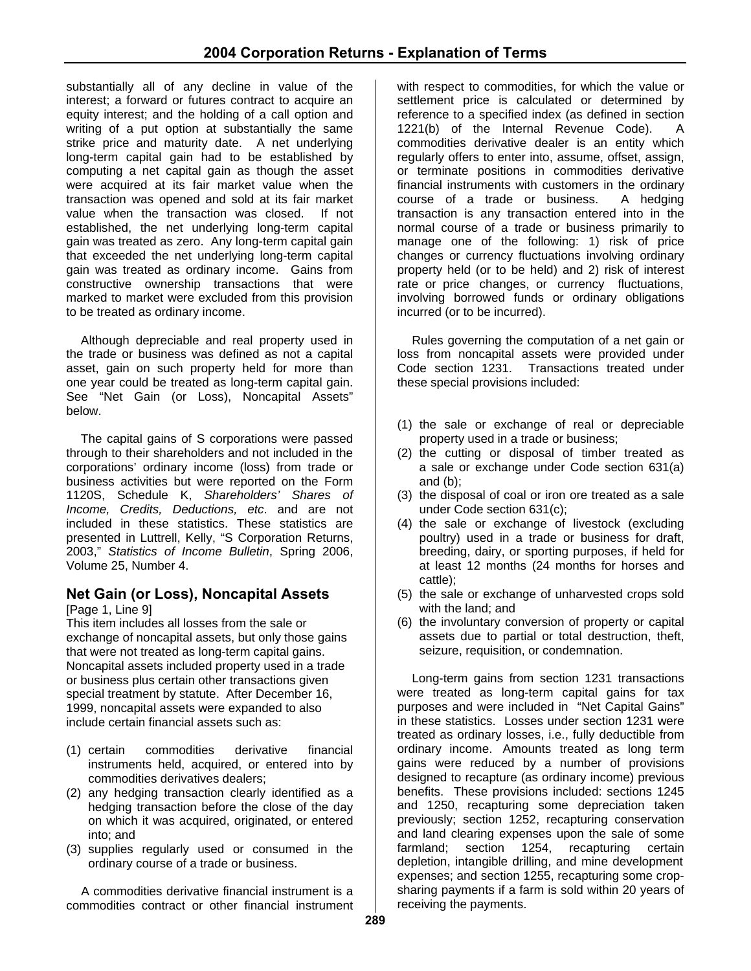substantially all of any decline in value of the interest; a forward or futures contract to acquire an equity interest; and the holding of a call option and writing of a put option at substantially the same strike price and maturity date. A net underlying long-term capital gain had to be established by computing a net capital gain as though the asset were acquired at its fair market value when the transaction was opened and sold at its fair market value when the transaction was closed. If not established, the net underlying long-term capital gain was treated as zero. Any long-term capital gain that exceeded the net underlying long-term capital gain was treated as ordinary income. Gains from constructive ownership transactions that were marked to market were excluded from this provision to be treated as ordinary income.

Although depreciable and real property used in the trade or business was defined as not a capital asset, gain on such property held for more than one year could be treated as long-term capital gain. See "Net Gain (or Loss), Noncapital Assets" below.

The capital gains of S corporations were passed through to their shareholders and not included in the corporations' ordinary income (loss) from trade or business activities but were reported on the Form 1120S, Schedule K, *Shareholders' Shares of Income, Credits, Deductions, etc*. and are not included in these statistics. These statistics are presented in Luttrell, Kelly, "S Corporation Returns, 2003," *Statistics of Income Bulletin*, Spring 2006, Volume 25, Number 4.

# **Net Gain (or Loss), Noncapital Assets**

[Page 1, Line 9]

This item includes all losses from the sale or exchange of noncapital assets, but only those gains that were not treated as long-term capital gains. Noncapital assets included property used in a trade or business plus certain other transactions given special treatment by statute. After December 16, 1999, noncapital assets were expanded to also include certain financial assets such as:

- (1) certain commodities derivative financial instruments held, acquired, or entered into by commodities derivatives dealers;
- (2) any hedging transaction clearly identified as a hedging transaction before the close of the day on which it was acquired, originated, or entered into; and
- (3) supplies regularly used or consumed in the ordinary course of a trade or business.

A commodities derivative financial instrument is a commodities contract or other financial instrument

with respect to commodities, for which the value or settlement price is calculated or determined by reference to a specified index (as defined in section 1221(b) of the Internal Revenue Code). A commodities derivative dealer is an entity which regularly offers to enter into, assume, offset, assign, or terminate positions in commodities derivative financial instruments with customers in the ordinary course of a trade or business. A hedging transaction is any transaction entered into in the normal course of a trade or business primarily to manage one of the following: 1) risk of price changes or currency fluctuations involving ordinary property held (or to be held) and 2) risk of interest rate or price changes, or currency fluctuations, involving borrowed funds or ordinary obligations incurred (or to be incurred).

Rules governing the computation of a net gain or loss from noncapital assets were provided under Code section 1231. Transactions treated under these special provisions included:

- (1) the sale or exchange of real or depreciable property used in a trade or business;
- (2) the cutting or disposal of timber treated as a sale or exchange under Code section 631(a) and (b);
- (3) the disposal of coal or iron ore treated as a sale under Code section 631(c);
- (4) the sale or exchange of livestock (excluding poultry) used in a trade or business for draft, breeding, dairy, or sporting purposes, if held for at least 12 months (24 months for horses and cattle);
- (5) the sale or exchange of unharvested crops sold with the land; and
- (6) the involuntary conversion of property or capital assets due to partial or total destruction, theft, seizure, requisition, or condemnation.

Long-term gains from section 1231 transactions were treated as long-term capital gains for tax purposes and were included in "Net Capital Gains" in these statistics. Losses under section 1231 were treated as ordinary losses, i.e., fully deductible from ordinary income. Amounts treated as long term gains were reduced by a number of provisions designed to recapture (as ordinary income) previous benefits. These provisions included: sections 1245 and 1250, recapturing some depreciation taken previously; section 1252, recapturing conservation and land clearing expenses upon the sale of some farmland; section 1254, recapturing certain depletion, intangible drilling, and mine development expenses; and section 1255, recapturing some cropsharing payments if a farm is sold within 20 years of receiving the payments.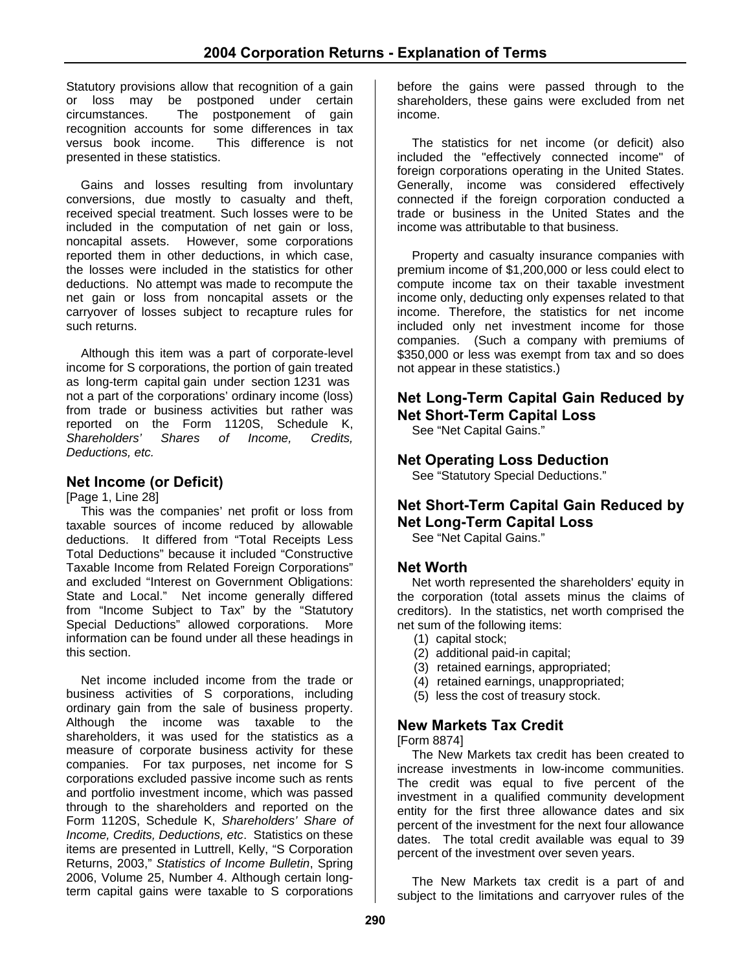Statutory provisions allow that recognition of a gain or loss may be postponed under certain circumstances. The postponement of gain recognition accounts for some differences in tax versus book income. This difference is not presented in these statistics.

Gains and losses resulting from involuntary conversions, due mostly to casualty and theft, received special treatment. Such losses were to be included in the computation of net gain or loss, noncapital assets. However, some corporations reported them in other deductions, in which case, the losses were included in the statistics for other deductions. No attempt was made to recompute the net gain or loss from noncapital assets or the carryover of losses subject to recapture rules for such returns.

Although this item was a part of corporate-level income for S corporations, the portion of gain treated as long-term capital gain under section 1231 was not a part of the corporations' ordinary income (loss) from trade or business activities but rather was reported on the Form 1120S, Schedule K, *Shareholders' Shares of Income, Credits, Deductions, etc.*

# **Net Income (or Deficit)**

[Page 1, Line 28]

This was the companies' net profit or loss from taxable sources of income reduced by allowable deductions. It differed from "Total Receipts Less Total Deductions" because it included "Constructive Taxable Income from Related Foreign Corporations" and excluded "Interest on Government Obligations: State and Local." Net income generally differed from "Income Subject to Tax" by the "Statutory Special Deductions" allowed corporations. More information can be found under all these headings in this section.

Net income included income from the trade or business activities of S corporations, including ordinary gain from the sale of business property. Although the income was taxable to the shareholders, it was used for the statistics as a measure of corporate business activity for these companies. For tax purposes, net income for S corporations excluded passive income such as rents and portfolio investment income, which was passed through to the shareholders and reported on the Form 1120S, Schedule K, *Shareholders' Share of Income, Credits, Deductions, etc*. Statistics on these items are presented in Luttrell, Kelly, "S Corporation Returns, 2003," *Statistics of Income Bulletin*, Spring 2006, Volume 25, Number 4. Although certain longterm capital gains were taxable to S corporations

before the gains were passed through to the shareholders, these gains were excluded from net income.

The statistics for net income (or deficit) also included the "effectively connected income" of foreign corporations operating in the United States. Generally, income was considered effectively connected if the foreign corporation conducted a trade or business in the United States and the income was attributable to that business.

Property and casualty insurance companies with premium income of \$1,200,000 or less could elect to compute income tax on their taxable investment income only, deducting only expenses related to that income. Therefore, the statistics for net income included only net investment income for those companies. (Such a company with premiums of \$350,000 or less was exempt from tax and so does not appear in these statistics.)

# **Net Long-Term Capital Gain Reduced by Net Short-Term Capital Loss**

See "Net Capital Gains."

# **Net Operating Loss Deduction**

See "Statutory Special Deductions."

# **Net Short-Term Capital Gain Reduced by Net Long-Term Capital Loss**

See "Net Capital Gains."

#### **Net Worth**

Net worth represented the shareholders' equity in the corporation (total assets minus the claims of creditors). In the statistics, net worth comprised the net sum of the following items:

- (1) capital stock;
- (2) additional paid-in capital;
- (3) retained earnings, appropriated;
- (4) retained earnings, unappropriated;
- (5) less the cost of treasury stock.

#### **New Markets Tax Credit**

[Form 8874]

The New Markets tax credit has been created to increase investments in low-income communities. The credit was equal to five percent of the investment in a qualified community development entity for the first three allowance dates and six percent of the investment for the next four allowance dates. The total credit available was equal to 39 percent of the investment over seven years.

The New Markets tax credit is a part of and subject to the limitations and carryover rules of the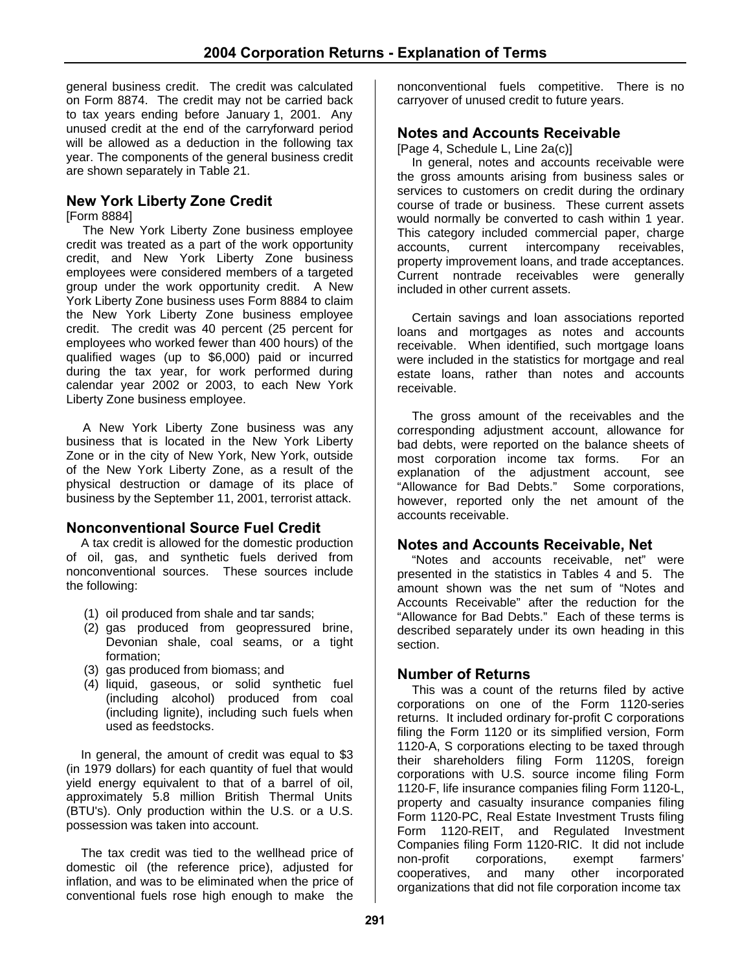general business credit. The credit was calculated on Form 8874. The credit may not be carried back to tax years ending before January 1, 2001. Any unused credit at the end of the carryforward period will be allowed as a deduction in the following tax year. The components of the general business credit are shown separately in Table 21.

# **New York Liberty Zone Credit**

[Form 8884]

The New York Liberty Zone business employee credit was treated as a part of the work opportunity credit, and New York Liberty Zone business employees were considered members of a targeted group under the work opportunity credit. A New York Liberty Zone business uses Form 8884 to claim the New York Liberty Zone business employee credit. The credit was 40 percent (25 percent for employees who worked fewer than 400 hours) of the qualified wages (up to \$6,000) paid or incurred during the tax year, for work performed during calendar year 2002 or 2003, to each New York Liberty Zone business employee.

 A New York Liberty Zone business was any business that is located in the New York Liberty Zone or in the city of New York, New York, outside of the New York Liberty Zone, as a result of the physical destruction or damage of its place of business by the September 11, 2001, terrorist attack.

#### **Nonconventional Source Fuel Credit**

A tax credit is allowed for the domestic production of oil, gas, and synthetic fuels derived from nonconventional sources. These sources include the following:

- (1) oil produced from shale and tar sands;
- (2) gas produced from geopressured brine, Devonian shale, coal seams, or a tight formation;
- (3) gas produced from biomass; and
- (4) liquid, gaseous, or solid synthetic fuel (including alcohol) produced from coal (including lignite), including such fuels when used as feedstocks.

In general, the amount of credit was equal to \$3 (in 1979 dollars) for each quantity of fuel that would yield energy equivalent to that of a barrel of oil, approximately 5.8 million British Thermal Units (BTU's). Only production within the U.S. or a U.S. possession was taken into account.

The tax credit was tied to the wellhead price of domestic oil (the reference price), adjusted for inflation, and was to be eliminated when the price of conventional fuels rose high enough to make the

nonconventional fuels competitive. There is no carryover of unused credit to future years.

# **Notes and Accounts Receivable**

[Page 4, Schedule L, Line 2a(c)]

In general, notes and accounts receivable were the gross amounts arising from business sales or services to customers on credit during the ordinary course of trade or business. These current assets would normally be converted to cash within 1 year. This category included commercial paper, charge accounts, current intercompany receivables, property improvement loans, and trade acceptances. Current nontrade receivables were generally included in other current assets.

Certain savings and loan associations reported loans and mortgages as notes and accounts receivable. When identified, such mortgage loans were included in the statistics for mortgage and real estate loans, rather than notes and accounts receivable.

The gross amount of the receivables and the corresponding adjustment account, allowance for bad debts, were reported on the balance sheets of most corporation income tax forms. For an explanation of the adjustment account, see "Allowance for Bad Debts." Some corporations, however, reported only the net amount of the accounts receivable.

#### **Notes and Accounts Receivable, Net**

"Notes and accounts receivable, net" were presented in the statistics in Tables 4 and 5. The amount shown was the net sum of "Notes and Accounts Receivable" after the reduction for the "Allowance for Bad Debts." Each of these terms is described separately under its own heading in this section.

#### **Number of Returns**

This was a count of the returns filed by active corporations on one of the Form 1120-series returns. It included ordinary for-profit C corporations filing the Form 1120 or its simplified version, Form 1120-A, S corporations electing to be taxed through their shareholders filing Form 1120S, foreign corporations with U.S. source income filing Form 1120-F, life insurance companies filing Form 1120-L, property and casualty insurance companies filing Form 1120-PC, Real Estate Investment Trusts filing Form 1120-REIT, and Regulated Investment Companies filing Form 1120-RIC. It did not include non-profit corporations, exempt farmers' cooperatives, and many other incorporated organizations that did not file corporation income tax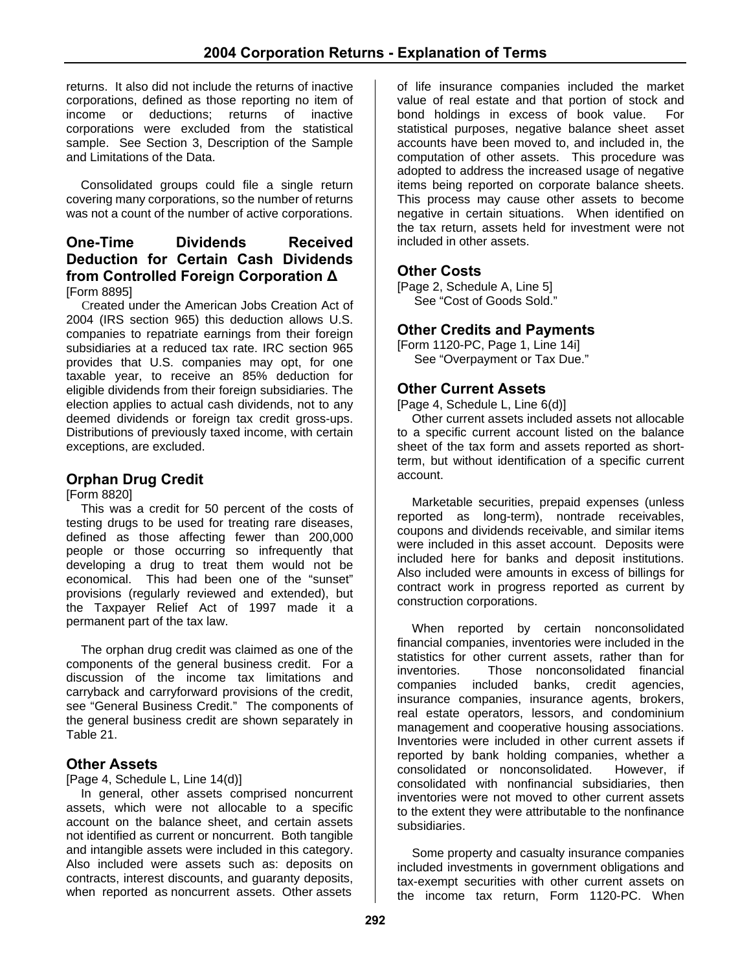returns. It also did not include the returns of inactive corporations, defined as those reporting no item of income or deductions; returns of inactive corporations were excluded from the statistical sample. See Section 3, Description of the Sample and Limitations of the Data.

Consolidated groups could file a single return covering many corporations, so the number of returns was not a count of the number of active corporations.

#### **One-Time Dividends Received Deduction for Certain Cash Dividends from Controlled Foreign Corporation Δ** [Form 8895]

 Created under the American Jobs Creation Act of 2004 (IRS section 965) this deduction allows U.S. companies to repatriate earnings from their foreign subsidiaries at a reduced tax rate. IRC section 965 provides that U.S. companies may opt, for one taxable year, to receive an 85% deduction for eligible dividends from their foreign subsidiaries. The election applies to actual cash dividends, not to any deemed dividends or foreign tax credit gross-ups. Distributions of previously taxed income, with certain exceptions, are excluded.

# **Orphan Drug Credit**

[Form 8820]

This was a credit for 50 percent of the costs of testing drugs to be used for treating rare diseases, defined as those affecting fewer than 200,000 people or those occurring so infrequently that developing a drug to treat them would not be economical. This had been one of the "sunset" provisions (regularly reviewed and extended), but the Taxpayer Relief Act of 1997 made it a permanent part of the tax law.

The orphan drug credit was claimed as one of the components of the general business credit. For a discussion of the income tax limitations and carryback and carryforward provisions of the credit, see "General Business Credit." The components of the general business credit are shown separately in Table 21.

# **Other Assets**

[Page 4, Schedule L, Line 14(d)]

In general, other assets comprised noncurrent assets, which were not allocable to a specific account on the balance sheet, and certain assets not identified as current or noncurrent. Both tangible and intangible assets were included in this category. Also included were assets such as: deposits on contracts, interest discounts, and guaranty deposits, when reported as noncurrent assets. Other assets

of life insurance companies included the market value of real estate and that portion of stock and bond holdings in excess of book value. For statistical purposes, negative balance sheet asset accounts have been moved to, and included in, the computation of other assets. This procedure was adopted to address the increased usage of negative items being reported on corporate balance sheets. This process may cause other assets to become negative in certain situations. When identified on the tax return, assets held for investment were not included in other assets.

# **Other Costs**

[Page 2, Schedule A, Line 5] See "Cost of Goods Sold."

# **Other Credits and Payments**

[Form 1120-PC, Page 1, Line 14i] See "Overpayment or Tax Due."

#### **Other Current Assets**

[Page 4, Schedule L, Line 6(d)]

Other current assets included assets not allocable to a specific current account listed on the balance sheet of the tax form and assets reported as shortterm, but without identification of a specific current account.

Marketable securities, prepaid expenses (unless reported as long-term), nontrade receivables, coupons and dividends receivable, and similar items were included in this asset account. Deposits were included here for banks and deposit institutions. Also included were amounts in excess of billings for contract work in progress reported as current by construction corporations.

When reported by certain nonconsolidated financial companies, inventories were included in the statistics for other current assets, rather than for inventories. Those nonconsolidated financial companies included banks, credit agencies, insurance companies, insurance agents, brokers, real estate operators, lessors, and condominium management and cooperative housing associations. Inventories were included in other current assets if reported by bank holding companies, whether a consolidated or nonconsolidated. However, if consolidated with nonfinancial subsidiaries, then inventories were not moved to other current assets to the extent they were attributable to the nonfinance subsidiaries.

Some property and casualty insurance companies included investments in government obligations and tax-exempt securities with other current assets on the income tax return, Form 1120-PC. When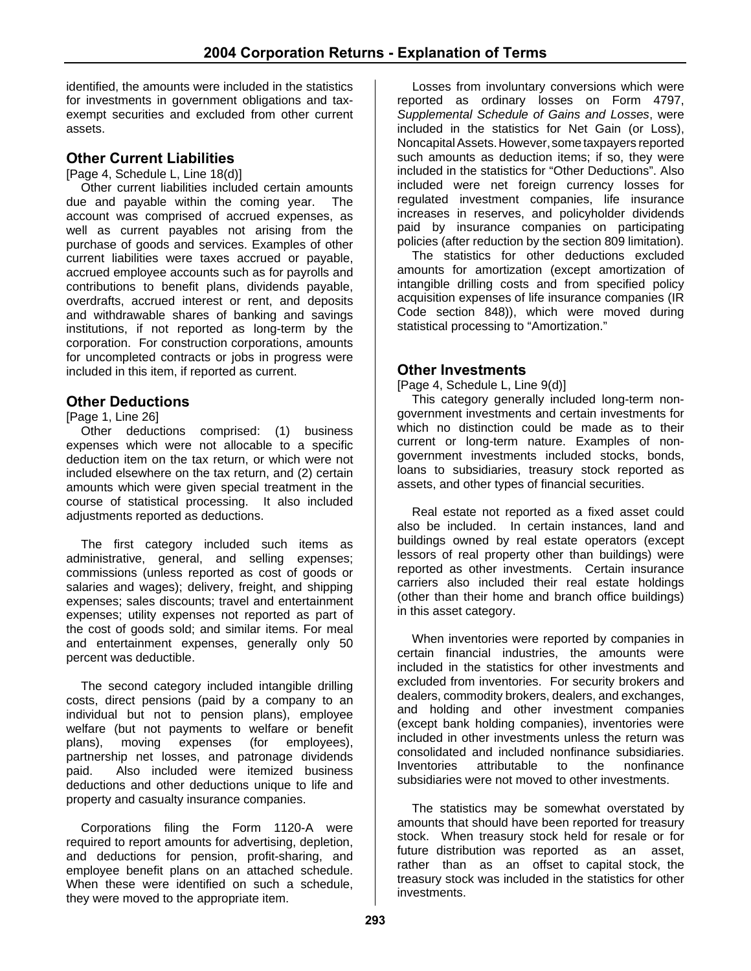identified, the amounts were included in the statistics for investments in government obligations and taxexempt securities and excluded from other current assets.

#### **Other Current Liabilities**

[Page 4, Schedule L, Line 18(d)]

Other current liabilities included certain amounts due and payable within the coming year. The account was comprised of accrued expenses, as well as current payables not arising from the purchase of goods and services. Examples of other current liabilities were taxes accrued or payable, accrued employee accounts such as for payrolls and contributions to benefit plans, dividends payable, overdrafts, accrued interest or rent, and deposits and withdrawable shares of banking and savings institutions, if not reported as long-term by the corporation. For construction corporations, amounts for uncompleted contracts or jobs in progress were included in this item, if reported as current.

#### **Other Deductions**

#### [Page 1, Line 26]

Other deductions comprised: (1) business expenses which were not allocable to a specific deduction item on the tax return, or which were not included elsewhere on the tax return, and (2) certain amounts which were given special treatment in the course of statistical processing. It also included adjustments reported as deductions.

The first category included such items as administrative, general, and selling expenses; commissions (unless reported as cost of goods or salaries and wages); delivery, freight, and shipping expenses; sales discounts; travel and entertainment expenses; utility expenses not reported as part of the cost of goods sold; and similar items. For meal and entertainment expenses, generally only 50 percent was deductible.

The second category included intangible drilling costs, direct pensions (paid by a company to an individual but not to pension plans), employee welfare (but not payments to welfare or benefit plans), moving expenses (for employees), partnership net losses, and patronage dividends paid. Also included were itemized business deductions and other deductions unique to life and property and casualty insurance companies.

Corporations filing the Form 1120-A were required to report amounts for advertising, depletion, and deductions for pension, profit-sharing, and employee benefit plans on an attached schedule. When these were identified on such a schedule, they were moved to the appropriate item.

Losses from involuntary conversions which were reported as ordinary losses on Form 4797, *Supplemental Schedule of Gains and Losses*, were included in the statistics for Net Gain (or Loss), Noncapital Assets. However, some taxpayers reported such amounts as deduction items; if so, they were included in the statistics for "Other Deductions". Also included were net foreign currency losses for regulated investment companies, life insurance increases in reserves, and policyholder dividends paid by insurance companies on participating policies (after reduction by the section 809 limitation).

The statistics for other deductions excluded amounts for amortization (except amortization of intangible drilling costs and from specified policy acquisition expenses of life insurance companies (IR Code section 848)), which were moved during statistical processing to "Amortization."

#### **Other Investments**

[Page 4, Schedule L, Line 9(d)]

This category generally included long-term nongovernment investments and certain investments for which no distinction could be made as to their current or long-term nature. Examples of nongovernment investments included stocks, bonds, loans to subsidiaries, treasury stock reported as assets, and other types of financial securities.

Real estate not reported as a fixed asset could also be included. In certain instances, land and buildings owned by real estate operators (except lessors of real property other than buildings) were reported as other investments. Certain insurance carriers also included their real estate holdings (other than their home and branch office buildings) in this asset category.

When inventories were reported by companies in certain financial industries, the amounts were included in the statistics for other investments and excluded from inventories. For security brokers and dealers, commodity brokers, dealers, and exchanges, and holding and other investment companies (except bank holding companies), inventories were included in other investments unless the return was consolidated and included nonfinance subsidiaries. Inventories attributable to the nonfinance subsidiaries were not moved to other investments.

The statistics may be somewhat overstated by amounts that should have been reported for treasury stock. When treasury stock held for resale or for future distribution was reported as an asset, rather than as an offset to capital stock, the treasury stock was included in the statistics for other investments.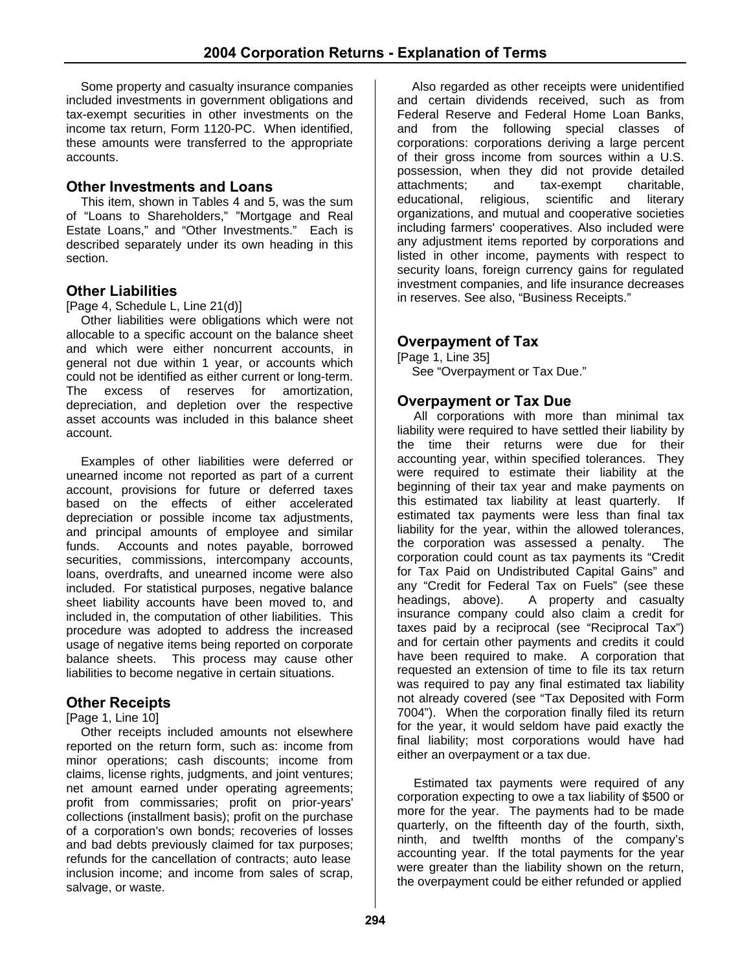Some property and casualty insurance companies included investments in government obligations and tax-exempt securities in other investments on the income tax return, Form 1120-PC. When identified, these amounts were transferred to the appropriate accounts.

#### **Other Investments and Loans**

This item, shown in Tables 4 and 5, was the sum of "Loans to Shareholders," "Mortgage and Real Estate Loans," and "Other Investments." Each is described separately under its own heading in this section.

# **Other Liabilities**

[Page 4, Schedule L, Line 21(d)]

Other liabilities were obligations which were not allocable to a specific account on the balance sheet and which were either noncurrent accounts, in general not due within 1 year, or accounts which could not be identified as either current or long-term. The excess of reserves for amortization, depreciation, and depletion over the respective asset accounts was included in this balance sheet account.

Examples of other liabilities were deferred or unearned income not reported as part of a current account, provisions for future or deferred taxes based on the effects of either accelerated depreciation or possible income tax adjustments, and principal amounts of employee and similar funds. Accounts and notes payable, borrowed securities, commissions, intercompany accounts, loans, overdrafts, and unearned income were also included. For statistical purposes, negative balance sheet liability accounts have been moved to, and included in, the computation of other liabilities. This procedure was adopted to address the increased usage of negative items being reported on corporate balance sheets. This process may cause other liabilities to become negative in certain situations.

#### **Other Receipts**

[Page 1, Line 10]

Other receipts included amounts not elsewhere reported on the return form, such as: income from minor operations; cash discounts; income from claims, license rights, judgments, and joint ventures; net amount earned under operating agreements; profit from commissaries; profit on prior-years' collections (installment basis); profit on the purchase of a corporation's own bonds; recoveries of losses and bad debts previously claimed for tax purposes; refunds for the cancellation of contracts; auto lease inclusion income; and income from sales of scrap, salvage, or waste.

Also regarded as other receipts were unidentified and certain dividends received, such as from Federal Reserve and Federal Home Loan Banks, and from the following special classes of corporations: corporations deriving a large percent of their gross income from sources within a U.S. possession, when they did not provide detailed attachments; and tax-exempt charitable, educational, religious, scientific and literary organizations, and mutual and cooperative societies including farmers' cooperatives. Also included were any adjustment items reported by corporations and listed in other income, payments with respect to security loans, foreign currency gains for regulated investment companies, and life insurance decreases in reserves. See also, "Business Receipts."

# **Overpayment of Tax**

[Page 1, Line 35] See "Overpayment or Tax Due."

#### **Overpayment or Tax Due**

All corporations with more than minimal tax liability were required to have settled their liability by the time their returns were due for their accounting year, within specified tolerances. They were required to estimate their liability at the beginning of their tax year and make payments on this estimated tax liability at least quarterly. If estimated tax payments were less than final tax liability for the year, within the allowed tolerances, the corporation was assessed a penalty. The corporation could count as tax payments its "Credit for Tax Paid on Undistributed Capital Gains" and any "Credit for Federal Tax on Fuels" (see these headings, above). A property and casualty insurance company could also claim a credit for taxes paid by a reciprocal (see "Reciprocal Tax") and for certain other payments and credits it could have been required to make. A corporation that requested an extension of time to file its tax return was required to pay any final estimated tax liability not already covered (see "Tax Deposited with Form 7004"). When the corporation finally filed its return for the year, it would seldom have paid exactly the final liability; most corporations would have had either an overpayment or a tax due.

Estimated tax payments were required of any corporation expecting to owe a tax liability of \$500 or more for the year. The payments had to be made quarterly, on the fifteenth day of the fourth, sixth, ninth, and twelfth months of the company's accounting year. If the total payments for the year were greater than the liability shown on the return, the overpayment could be either refunded or applied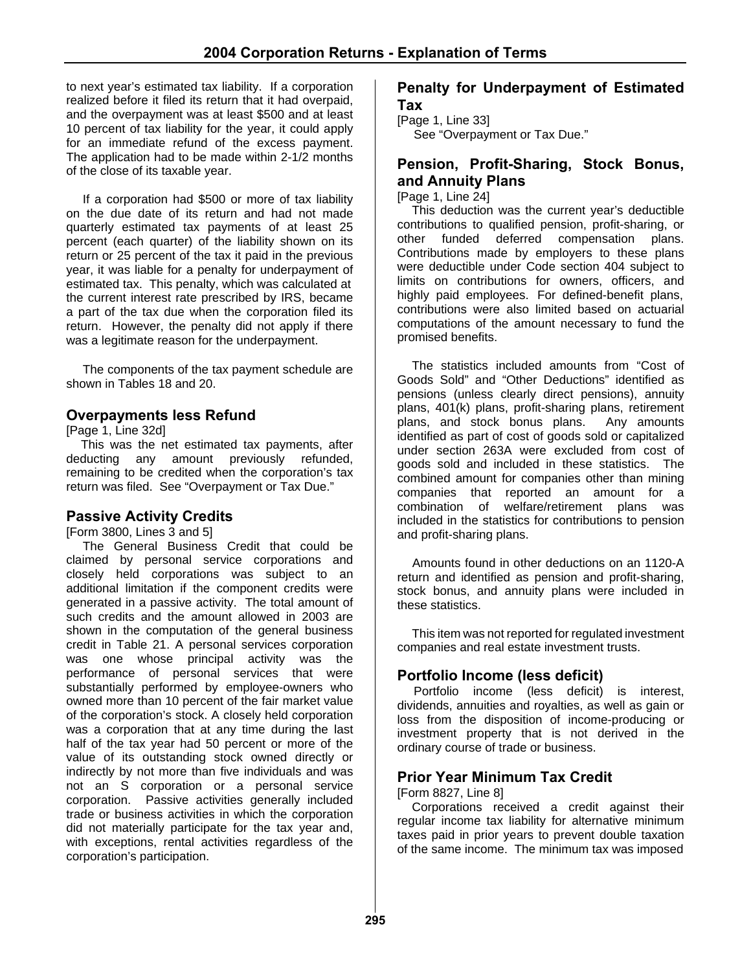to next year's estimated tax liability. If a corporation realized before it filed its return that it had overpaid, and the overpayment was at least \$500 and at least 10 percent of tax liability for the year, it could apply for an immediate refund of the excess payment. The application had to be made within 2-1/2 months of the close of its taxable year.

If a corporation had \$500 or more of tax liability on the due date of its return and had not made quarterly estimated tax payments of at least 25 percent (each quarter) of the liability shown on its return or 25 percent of the tax it paid in the previous year, it was liable for a penalty for underpayment of estimated tax. This penalty, which was calculated at the current interest rate prescribed by IRS, became a part of the tax due when the corporation filed its return. However, the penalty did not apply if there was a legitimate reason for the underpayment.

The components of the tax payment schedule are shown in Tables 18 and 20.

# **Overpayments less Refund**

[Page 1, Line 32d]

This was the net estimated tax payments, after deducting any amount previously refunded, remaining to be credited when the corporation's tax return was filed. See "Overpayment or Tax Due."

#### **Passive Activity Credits**

[Form 3800, Lines 3 and 5]

The General Business Credit that could be claimed by personal service corporations and closely held corporations was subject to an additional limitation if the component credits were generated in a passive activity. The total amount of such credits and the amount allowed in 2003 are shown in the computation of the general business credit in Table 21. A personal services corporation was one whose principal activity was the performance of personal services that were substantially performed by employee-owners who owned more than 10 percent of the fair market value of the corporation's stock. A closely held corporation was a corporation that at any time during the last half of the tax year had 50 percent or more of the value of its outstanding stock owned directly or indirectly by not more than five individuals and was not an S corporation or a personal service corporation. Passive activities generally included trade or business activities in which the corporation did not materially participate for the tax year and, with exceptions, rental activities regardless of the corporation's participation.

#### **Penalty for Underpayment of Estimated Tax**

[Page 1, Line 33] See "Overpayment or Tax Due."

### **Pension, Profit-Sharing, Stock Bonus, and Annuity Plans**

[Page 1, Line 24]

This deduction was the current year's deductible contributions to qualified pension, profit-sharing, or other funded deferred compensation plans. Contributions made by employers to these plans were deductible under Code section 404 subject to limits on contributions for owners, officers, and highly paid employees. For defined-benefit plans, contributions were also limited based on actuarial computations of the amount necessary to fund the promised benefits.

The statistics included amounts from "Cost of Goods Sold" and "Other Deductions" identified as pensions (unless clearly direct pensions), annuity plans, 401(k) plans, profit-sharing plans, retirement plans, and stock bonus plans. Any amounts identified as part of cost of goods sold or capitalized under section 263A were excluded from cost of goods sold and included in these statistics. The combined amount for companies other than mining companies that reported an amount for a combination of welfare/retirement plans was included in the statistics for contributions to pension and profit-sharing plans.

Amounts found in other deductions on an 1120-A return and identified as pension and profit-sharing, stock bonus, and annuity plans were included in these statistics.

This item was not reported for regulated investment companies and real estate investment trusts.

# **Portfolio Income (less deficit)**

Portfolio income (less deficit) is interest, dividends, annuities and royalties, as well as gain or loss from the disposition of income-producing or investment property that is not derived in the ordinary course of trade or business.

#### **Prior Year Minimum Tax Credit**

[Form 8827, Line 8]

Corporations received a credit against their regular income tax liability for alternative minimum taxes paid in prior years to prevent double taxation of the same income. The minimum tax was imposed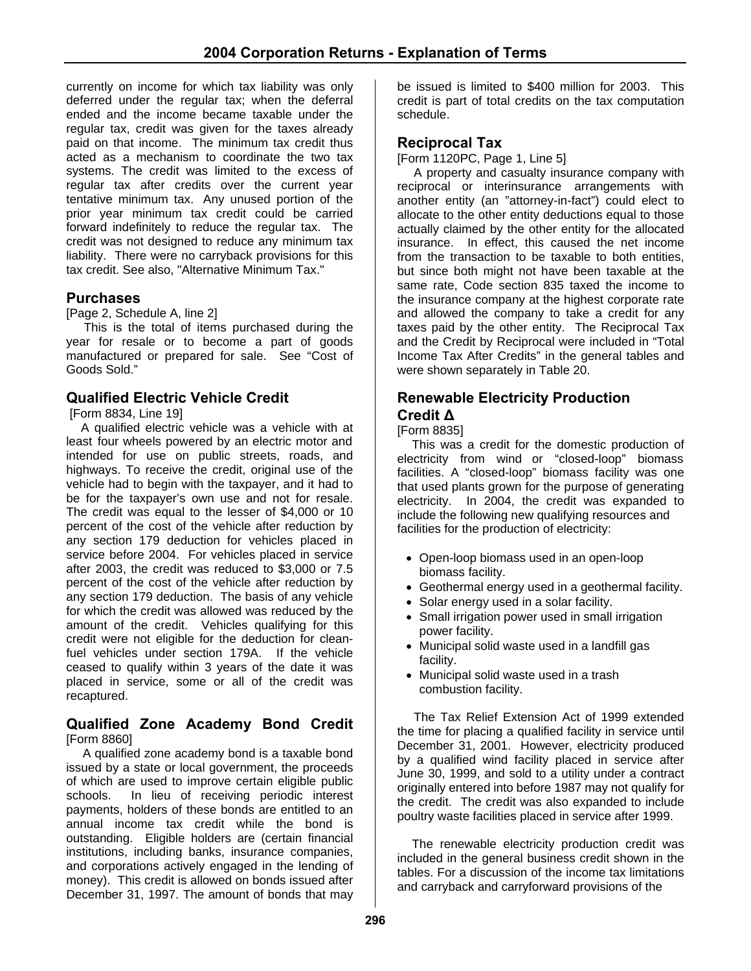currently on income for which tax liability was only deferred under the regular tax; when the deferral ended and the income became taxable under the regular tax, credit was given for the taxes already paid on that income. The minimum tax credit thus acted as a mechanism to coordinate the two tax systems. The credit was limited to the excess of regular tax after credits over the current year tentative minimum tax. Any unused portion of the prior year minimum tax credit could be carried forward indefinitely to reduce the regular tax. The credit was not designed to reduce any minimum tax liability. There were no carryback provisions for this tax credit. See also, "Alternative Minimum Tax."

# **Purchases**

[Page 2, Schedule A, line 2]

This is the total of items purchased during the year for resale or to become a part of goods manufactured or prepared for sale. See "Cost of Goods Sold."

# **Qualified Electric Vehicle Credit**

[Form 8834, Line 19]

A qualified electric vehicle was a vehicle with at least four wheels powered by an electric motor and intended for use on public streets, roads, and highways. To receive the credit, original use of the vehicle had to begin with the taxpayer, and it had to be for the taxpayer's own use and not for resale. The credit was equal to the lesser of \$4,000 or 10 percent of the cost of the vehicle after reduction by any section 179 deduction for vehicles placed in service before 2004. For vehicles placed in service after 2003, the credit was reduced to \$3,000 or 7.5 percent of the cost of the vehicle after reduction by any section 179 deduction. The basis of any vehicle for which the credit was allowed was reduced by the amount of the credit. Vehicles qualifying for this credit were not eligible for the deduction for cleanfuel vehicles under section 179A. If the vehicle ceased to qualify within 3 years of the date it was placed in service, some or all of the credit was recaptured.

#### **Qualified Zone Academy Bond Credit**  [Form 8860]

 A qualified zone academy bond is a taxable bond issued by a state or local government, the proceeds of which are used to improve certain eligible public schools. In lieu of receiving periodic interest payments, holders of these bonds are entitled to an annual income tax credit while the bond is outstanding. Eligible holders are (certain financial institutions, including banks, insurance companies, and corporations actively engaged in the lending of money). This credit is allowed on bonds issued after December 31, 1997. The amount of bonds that may

be issued is limited to \$400 million for 2003. This credit is part of total credits on the tax computation schedule.

### **Reciprocal Tax**

[Form 1120PC, Page 1, Line 5]

A property and casualty insurance company with reciprocal or interinsurance arrangements with another entity (an "attorney-in-fact") could elect to allocate to the other entity deductions equal to those actually claimed by the other entity for the allocated insurance. In effect, this caused the net income from the transaction to be taxable to both entities, but since both might not have been taxable at the same rate, Code section 835 taxed the income to the insurance company at the highest corporate rate and allowed the company to take a credit for any taxes paid by the other entity. The Reciprocal Tax and the Credit by Reciprocal were included in "Total Income Tax After Credits" in the general tables and were shown separately in Table 20.

# **Renewable Electricity Production Credit Δ**

[Form 8835]

This was a credit for the domestic production of electricity from wind or "closed-loop" biomass facilities. A "closed-loop" biomass facility was one that used plants grown for the purpose of generating electricity. In 2004, the credit was expanded to include the following new qualifying resources and facilities for the production of electricity:

- Open-loop biomass used in an open-loop biomass facility.
- Geothermal energy used in a geothermal facility.
- Solar energy used in a solar facility.
- Small irrigation power used in small irrigation power facility.
- Municipal solid waste used in a landfill gas facility.
- Municipal solid waste used in a trash combustion facility.

The Tax Relief Extension Act of 1999 extended the time for placing a qualified facility in service until December 31, 2001. However, electricity produced by a qualified wind facility placed in service after June 30, 1999, and sold to a utility under a contract originally entered into before 1987 may not qualify for the credit. The credit was also expanded to include poultry waste facilities placed in service after 1999.

The renewable electricity production credit was included in the general business credit shown in the tables. For a discussion of the income tax limitations and carryback and carryforward provisions of the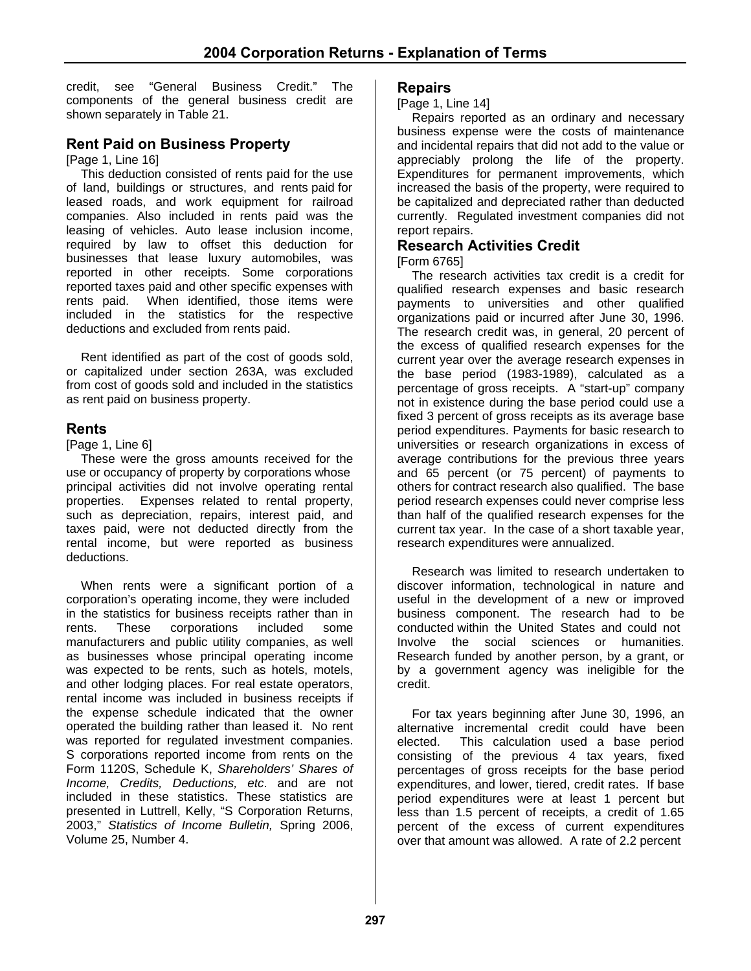credit, see "General Business Credit." The components of the general business credit are shown separately in Table 21.

# **Rent Paid on Business Property**

[Page 1, Line 16]

This deduction consisted of rents paid for the use of land, buildings or structures, and rents paid for leased roads, and work equipment for railroad companies. Also included in rents paid was the leasing of vehicles. Auto lease inclusion income, required by law to offset this deduction for businesses that lease luxury automobiles, was reported in other receipts. Some corporations reported taxes paid and other specific expenses with rents paid. When identified, those items were included in the statistics for the respective deductions and excluded from rents paid.

Rent identified as part of the cost of goods sold, or capitalized under section 263A, was excluded from cost of goods sold and included in the statistics as rent paid on business property.

#### **Rents**

[Page 1, Line 6]

These were the gross amounts received for the use or occupancy of property by corporations whose principal activities did not involve operating rental properties. Expenses related to rental property, such as depreciation, repairs, interest paid, and taxes paid, were not deducted directly from the rental income, but were reported as business deductions.

When rents were a significant portion of a corporation's operating income, they were included in the statistics for business receipts rather than in rents. These corporations included some manufacturers and public utility companies, as well as businesses whose principal operating income was expected to be rents, such as hotels, motels, and other lodging places. For real estate operators, rental income was included in business receipts if the expense schedule indicated that the owner operated the building rather than leased it. No rent was reported for regulated investment companies. S corporations reported income from rents on the Form 1120S, Schedule K, *Shareholders' Shares of Income, Credits, Deductions, etc*. and are not included in these statistics. These statistics are presented in Luttrell, Kelly, "S Corporation Returns, 2003," *Statistics of Income Bulletin,* Spring 2006, Volume 25, Number 4.

#### **Repairs**

[Page 1, Line 14]

Repairs reported as an ordinary and necessary business expense were the costs of maintenance and incidental repairs that did not add to the value or appreciably prolong the life of the property. Expenditures for permanent improvements, which increased the basis of the property, were required to be capitalized and depreciated rather than deducted currently. Regulated investment companies did not report repairs.

#### **Research Activities Credit**

#### [Form 6765]

The research activities tax credit is a credit for qualified research expenses and basic research payments to universities and other qualified organizations paid or incurred after June 30, 1996. The research credit was, in general, 20 percent of the excess of qualified research expenses for the current year over the average research expenses in the base period (1983-1989), calculated as a percentage of gross receipts. A "start-up" company not in existence during the base period could use a fixed 3 percent of gross receipts as its average base period expenditures. Payments for basic research to universities or research organizations in excess of average contributions for the previous three years and 65 percent (or 75 percent) of payments to others for contract research also qualified. The base period research expenses could never comprise less than half of the qualified research expenses for the current tax year. In the case of a short taxable year, research expenditures were annualized.

Research was limited to research undertaken to discover information, technological in nature and useful in the development of a new or improved business component. The research had to be conducted within the United States and could not Involve the social sciences or humanities. Research funded by another person, by a grant, or by a government agency was ineligible for the credit.

For tax years beginning after June 30, 1996, an alternative incremental credit could have been elected. This calculation used a base period consisting of the previous 4 tax years, fixed percentages of gross receipts for the base period expenditures, and lower, tiered, credit rates. If base period expenditures were at least 1 percent but less than 1.5 percent of receipts, a credit of 1.65 percent of the excess of current expenditures over that amount was allowed. A rate of 2.2 percent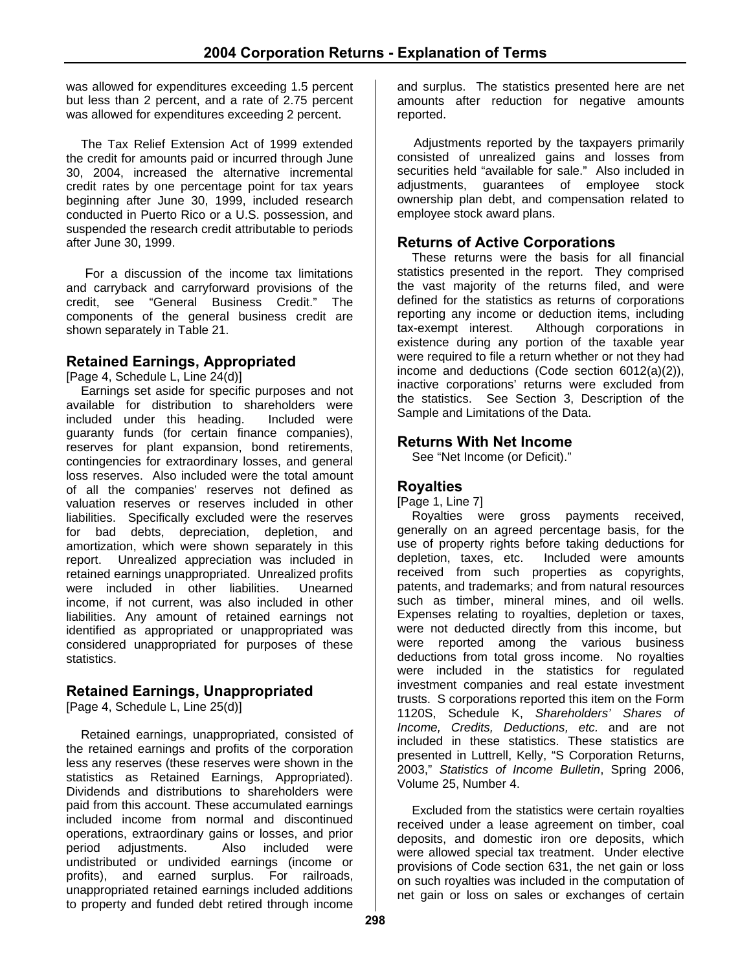was allowed for expenditures exceeding 1.5 percent but less than 2 percent, and a rate of 2.75 percent was allowed for expenditures exceeding 2 percent.

The Tax Relief Extension Act of 1999 extended the credit for amounts paid or incurred through June 30, 2004, increased the alternative incremental credit rates by one percentage point for tax years beginning after June 30, 1999, included research conducted in Puerto Rico or a U.S. possession, and suspended the research credit attributable to periods after June 30, 1999.

 For a discussion of the income tax limitations and carryback and carryforward provisions of the credit, see "General Business Credit." The components of the general business credit are shown separately in Table 21.

# **Retained Earnings, Appropriated**

[Page 4, Schedule L, Line 24(d)]

Earnings set aside for specific purposes and not available for distribution to shareholders were included under this heading. Included were guaranty funds (for certain finance companies), reserves for plant expansion, bond retirements, contingencies for extraordinary losses, and general loss reserves. Also included were the total amount of all the companies' reserves not defined as valuation reserves or reserves included in other liabilities. Specifically excluded were the reserves for bad debts, depreciation, depletion, and amortization, which were shown separately in this report. Unrealized appreciation was included in retained earnings unappropriated. Unrealized profits were included in other liabilities. Unearned income, if not current, was also included in other liabilities. Any amount of retained earnings not identified as appropriated or unappropriated was considered unappropriated for purposes of these statistics.

# **Retained Earnings, Unappropriated**

[Page 4, Schedule L, Line 25(d)]

Retained earnings, unappropriated, consisted of the retained earnings and profits of the corporation less any reserves (these reserves were shown in the statistics as Retained Earnings, Appropriated). Dividends and distributions to shareholders were paid from this account. These accumulated earnings included income from normal and discontinued operations, extraordinary gains or losses, and prior period adjustments. Also included were undistributed or undivided earnings (income or profits), and earned surplus. For railroads, unappropriated retained earnings included additions to property and funded debt retired through income

and surplus. The statistics presented here are net amounts after reduction for negative amounts reported.

Adjustments reported by the taxpayers primarily consisted of unrealized gains and losses from securities held "available for sale." Also included in adjustments, guarantees of employee stock ownership plan debt, and compensation related to employee stock award plans.

#### **Returns of Active Corporations**

These returns were the basis for all financial statistics presented in the report. They comprised the vast majority of the returns filed, and were defined for the statistics as returns of corporations reporting any income or deduction items, including tax-exempt interest. Although corporations in existence during any portion of the taxable year were required to file a return whether or not they had income and deductions (Code section 6012(a)(2)), inactive corporations' returns were excluded from the statistics. See Section 3, Description of the Sample and Limitations of the Data.

#### **Returns With Net Income**

See "Net Income (or Deficit)."

### **Royalties**

[Page 1, Line 7]

Royalties were gross payments received, generally on an agreed percentage basis, for the use of property rights before taking deductions for depletion, taxes, etc. Included were amounts received from such properties as copyrights, patents, and trademarks; and from natural resources such as timber, mineral mines, and oil wells. Expenses relating to royalties, depletion or taxes, were not deducted directly from this income, but were reported among the various business deductions from total gross income. No royalties were included in the statistics for regulated investment companies and real estate investment trusts. S corporations reported this item on the Form 1120S, Schedule K, *Shareholders' Shares of Income, Credits, Deductions, etc.* and are not included in these statistics. These statistics are presented in Luttrell, Kelly, "S Corporation Returns, 2003," *Statistics of Income Bulletin*, Spring 2006, Volume 25, Number 4.

Excluded from the statistics were certain royalties received under a lease agreement on timber, coal deposits, and domestic iron ore deposits, which were allowed special tax treatment. Under elective provisions of Code section 631, the net gain or loss on such royalties was included in the computation of net gain or loss on sales or exchanges of certain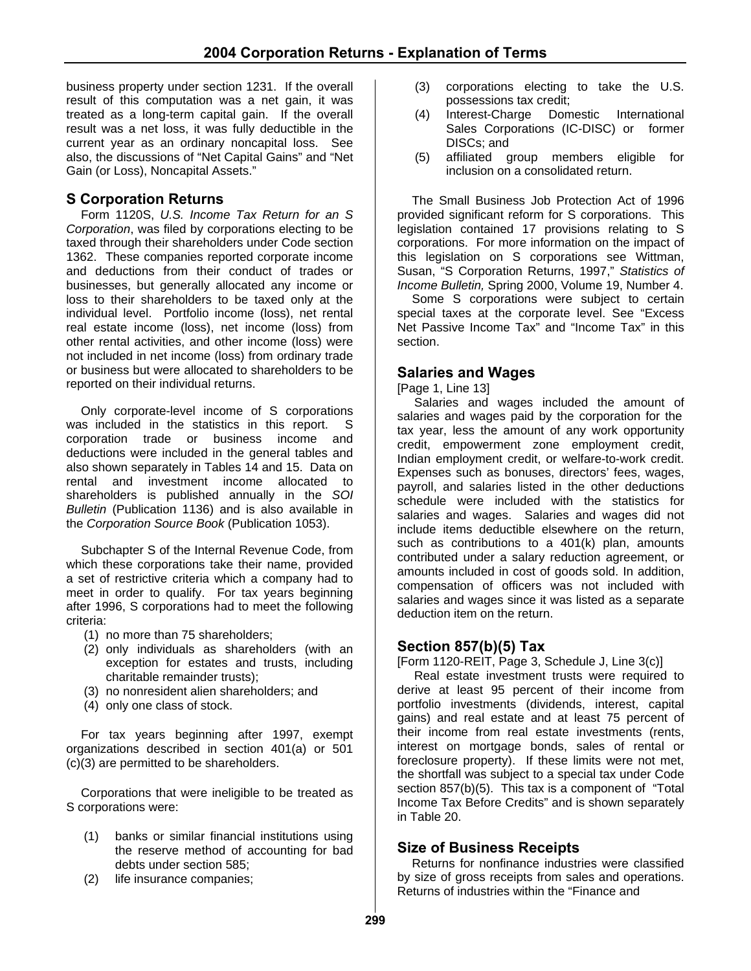business property under section 1231. If the overall result of this computation was a net gain, it was treated as a long-term capital gain. If the overall result was a net loss, it was fully deductible in the current year as an ordinary noncapital loss. See also, the discussions of "Net Capital Gains" and "Net Gain (or Loss), Noncapital Assets."

#### **S Corporation Returns**

Form 1120S, *U.S. Income Tax Return for an S Corporation*, was filed by corporations electing to be taxed through their shareholders under Code section 1362. These companies reported corporate income and deductions from their conduct of trades or businesses, but generally allocated any income or loss to their shareholders to be taxed only at the individual level. Portfolio income (loss), net rental real estate income (loss), net income (loss) from other rental activities, and other income (loss) were not included in net income (loss) from ordinary trade or business but were allocated to shareholders to be reported on their individual returns.

Only corporate-level income of S corporations was included in the statistics in this report. S corporation trade or business income and deductions were included in the general tables and also shown separately in Tables 14 and 15. Data on rental and investment income allocated to shareholders is published annually in the *SOI Bulletin* (Publication 1136) and is also available in the *Corporation Source Book* (Publication 1053).

Subchapter S of the Internal Revenue Code, from which these corporations take their name, provided a set of restrictive criteria which a company had to meet in order to qualify. For tax years beginning after 1996, S corporations had to meet the following criteria:

- (1) no more than 75 shareholders;
- (2) only individuals as shareholders (with an exception for estates and trusts, including charitable remainder trusts);
- (3) no nonresident alien shareholders; and
- (4) only one class of stock.

For tax years beginning after 1997, exempt organizations described in section 401(a) or 501 (c)(3) are permitted to be shareholders.

Corporations that were ineligible to be treated as S corporations were:

- (1) banks or similar financial institutions using the reserve method of accounting for bad debts under section 585;
- (2) life insurance companies;
- (3) corporations electing to take the U.S. possessions tax credit;
- (4) Interest-Charge Domestic International Sales Corporations (IC-DISC) or former DISCs; and
- (5) affiliated group members eligible for inclusion on a consolidated return.

The Small Business Job Protection Act of 1996 provided significant reform for S corporations. This legislation contained 17 provisions relating to S corporations. For more information on the impact of this legislation on S corporations see Wittman, Susan, "S Corporation Returns, 1997," *Statistics of Income Bulletin,* Spring 2000, Volume 19, Number 4.

Some S corporations were subject to certain special taxes at the corporate level. See "Excess Net Passive Income Tax" and "Income Tax" in this section.

#### **Salaries and Wages**

[Page 1, Line 13]

 Salaries and wages included the amount of salaries and wages paid by the corporation for the tax year, less the amount of any work opportunity credit, empowerment zone employment credit, Indian employment credit, or welfare-to-work credit. Expenses such as bonuses, directors' fees, wages, payroll, and salaries listed in the other deductions schedule were included with the statistics for salaries and wages. Salaries and wages did not include items deductible elsewhere on the return, such as contributions to a 401(k) plan, amounts contributed under a salary reduction agreement, or amounts included in cost of goods sold. In addition, compensation of officers was not included with salaries and wages since it was listed as a separate deduction item on the return.

#### **Section 857(b)(5) Tax**

[Form 1120-REIT, Page 3, Schedule J, Line 3(c)]

 Real estate investment trusts were required to derive at least 95 percent of their income from portfolio investments (dividends, interest, capital gains) and real estate and at least 75 percent of their income from real estate investments (rents, interest on mortgage bonds, sales of rental or foreclosure property). If these limits were not met, the shortfall was subject to a special tax under Code section 857(b)(5). This tax is a component of "Total Income Tax Before Credits" and is shown separately in Table 20.

#### **Size of Business Receipts**

Returns for nonfinance industries were classified by size of gross receipts from sales and operations. Returns of industries within the "Finance and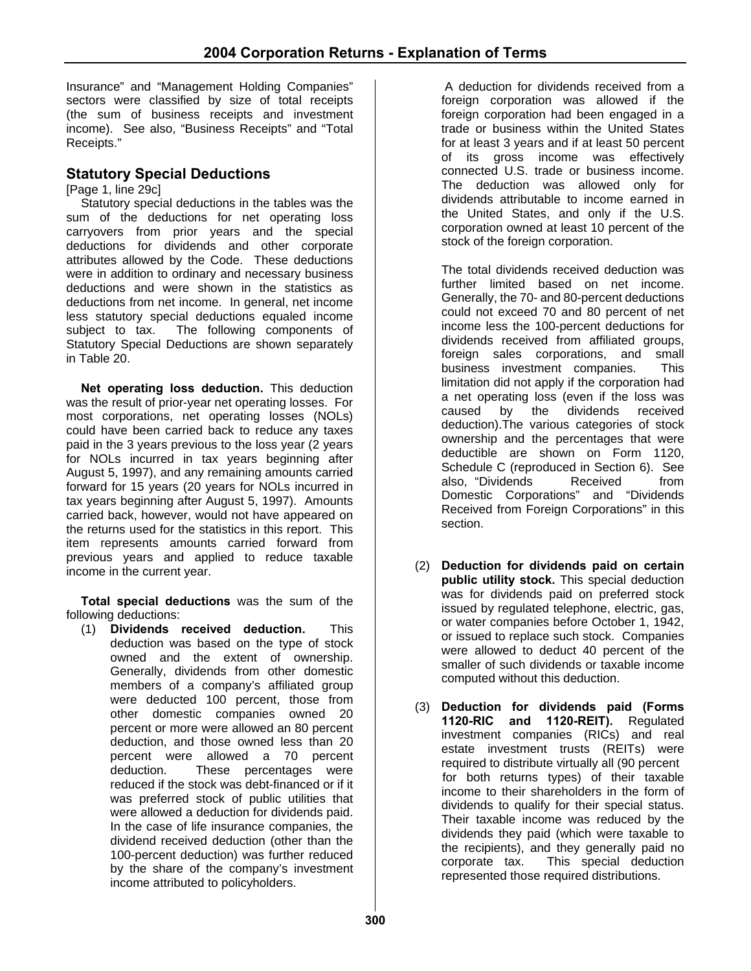Insurance" and "Management Holding Companies" sectors were classified by size of total receipts (the sum of business receipts and investment income). See also, "Business Receipts" and "Total Receipts."

# **Statutory Special Deductions**

[Page 1, line 29c]

Statutory special deductions in the tables was the sum of the deductions for net operating loss carryovers from prior years and the special deductions for dividends and other corporate attributes allowed by the Code. These deductions were in addition to ordinary and necessary business deductions and were shown in the statistics as deductions from net income. In general, net income less statutory special deductions equaled income subject to tax. The following components of Statutory Special Deductions are shown separately in Table 20.

**Net operating loss deduction.** This deduction was the result of prior-year net operating losses. For most corporations, net operating losses (NOLs) could have been carried back to reduce any taxes paid in the 3 years previous to the loss year (2 years for NOLs incurred in tax years beginning after August 5, 1997), and any remaining amounts carried forward for 15 years (20 years for NOLs incurred in tax years beginning after August 5, 1997). Amounts carried back, however, would not have appeared on the returns used for the statistics in this report. This item represents amounts carried forward from previous years and applied to reduce taxable income in the current year.

**Total special deductions** was the sum of the following deductions:

(1) **Dividends received deduction.** This deduction was based on the type of stock owned and the extent of ownership. Generally, dividends from other domestic members of a company's affiliated group were deducted 100 percent, those from other domestic companies owned 20 percent or more were allowed an 80 percent deduction, and those owned less than 20 percent were allowed a 70 percent deduction. These percentages were reduced if the stock was debt-financed or if it was preferred stock of public utilities that were allowed a deduction for dividends paid. In the case of life insurance companies, the dividend received deduction (other than the 100-percent deduction) was further reduced by the share of the company's investment income attributed to policyholders.

 A deduction for dividends received from a foreign corporation was allowed if the foreign corporation had been engaged in a trade or business within the United States for at least 3 years and if at least 50 percent of its gross income was effectively connected U.S. trade or business income. The deduction was allowed only for dividends attributable to income earned in the United States, and only if the U.S. corporation owned at least 10 percent of the stock of the foreign corporation.

The total dividends received deduction was further limited based on net income. Generally, the 70- and 80-percent deductions could not exceed 70 and 80 percent of net income less the 100-percent deductions for dividends received from affiliated groups, foreign sales corporations, and small business investment companies. This limitation did not apply if the corporation had a net operating loss (even if the loss was caused by the dividends received deduction).The various categories of stock ownership and the percentages that were deductible are shown on Form 1120, Schedule C (reproduced in Section 6). See also, "Dividends Received from Domestic Corporations" and "Dividends Received from Foreign Corporations" in this section.

- (2) **Deduction for dividends paid on certain public utility stock.** This special deduction was for dividends paid on preferred stock issued by regulated telephone, electric, gas, or water companies before October 1, 1942, or issued to replace such stock. Companies were allowed to deduct 40 percent of the smaller of such dividends or taxable income computed without this deduction.
- (3) **Deduction for dividends paid (Forms 1120-RIC and 1120-REIT).** Regulated investment companies (RICs) and real estate investment trusts (REITs) were required to distribute virtually all (90 percent for both returns types) of their taxable income to their shareholders in the form of dividends to qualify for their special status. Their taxable income was reduced by the dividends they paid (which were taxable to the recipients), and they generally paid no corporate tax. This special deduction represented those required distributions.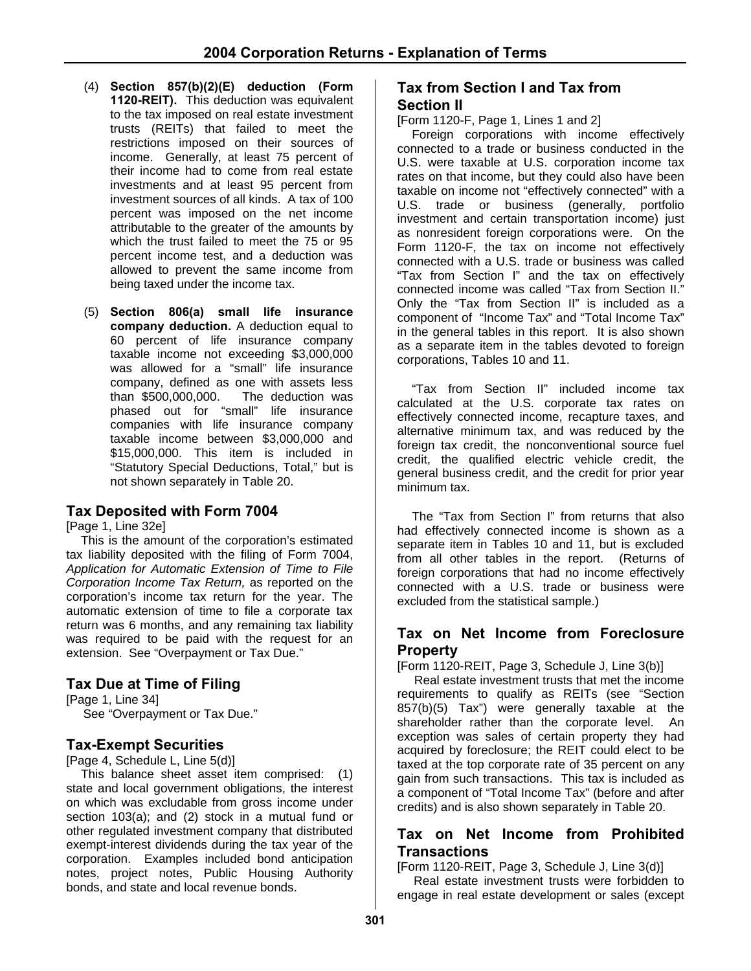- (4) **Section 857(b)(2)(E) deduction (Form 1120-REIT).** This deduction was equivalent to the tax imposed on real estate investment trusts (REITs) that failed to meet the restrictions imposed on their sources of income. Generally, at least 75 percent of their income had to come from real estate investments and at least 95 percent from investment sources of all kinds. A tax of 100 percent was imposed on the net income attributable to the greater of the amounts by which the trust failed to meet the 75 or 95 percent income test, and a deduction was allowed to prevent the same income from being taxed under the income tax.
- (5) **Section 806(a) small life insurance company deduction.** A deduction equal to 60 percent of life insurance company taxable income not exceeding \$3,000,000 was allowed for a "small" life insurance company, defined as one with assets less than \$500,000,000. The deduction was phased out for "small" life insurance companies with life insurance company taxable income between \$3,000,000 and \$15,000,000. This item is included in "Statutory Special Deductions, Total," but is not shown separately in Table 20.

#### **Tax Deposited with Form 7004**

[Page 1, Line 32e]

This is the amount of the corporation's estimated tax liability deposited with the filing of Form 7004, *Application for Automatic Extension of Time to File Corporation Income Tax Return,* as reported on the corporation's income tax return for the year. The automatic extension of time to file a corporate tax return was 6 months, and any remaining tax liability was required to be paid with the request for an extension. See "Overpayment or Tax Due."

# **Tax Due at Time of Filing**

[Page 1, Line 34] See "Overpayment or Tax Due."

#### **Tax-Exempt Securities**

[Page 4, Schedule L, Line 5(d)]

This balance sheet asset item comprised: (1) state and local government obligations, the interest on which was excludable from gross income under section 103(a); and (2) stock in a mutual fund or other regulated investment company that distributed exempt-interest dividends during the tax year of the corporation. Examples included bond anticipation notes, project notes, Public Housing Authority bonds, and state and local revenue bonds.

#### **Tax from Section I and Tax from Section II**

[Form 1120-F, Page 1, Lines 1 and 2]

Foreign corporations with income effectively connected to a trade or business conducted in the U.S. were taxable at U.S. corporation income tax rates on that income, but they could also have been taxable on income not "effectively connected" with a U.S. trade or business (generally, portfolio investment and certain transportation income) just as nonresident foreign corporations were. On the Form 1120-F, the tax on income not effectively connected with a U.S. trade or business was called "Tax from Section I" and the tax on effectively connected income was called "Tax from Section II." Only the "Tax from Section II" is included as a component of "Income Tax" and "Total Income Tax" in the general tables in this report. It is also shown as a separate item in the tables devoted to foreign corporations, Tables 10 and 11.

"Tax from Section II" included income tax calculated at the U.S. corporate tax rates on effectively connected income, recapture taxes, and alternative minimum tax, and was reduced by the foreign tax credit, the nonconventional source fuel credit, the qualified electric vehicle credit, the general business credit, and the credit for prior year minimum tax.

The "Tax from Section I" from returns that also had effectively connected income is shown as a separate item in Tables 10 and 11, but is excluded from all other tables in the report. (Returns of foreign corporations that had no income effectively connected with a U.S. trade or business were excluded from the statistical sample.)

#### **Tax on Net Income from Foreclosure Property**

[Form 1120-REIT, Page 3, Schedule J, Line 3(b)]

 Real estate investment trusts that met the income requirements to qualify as REITs (see "Section 857(b)(5) Tax") were generally taxable at the shareholder rather than the corporate level. An exception was sales of certain property they had acquired by foreclosure; the REIT could elect to be taxed at the top corporate rate of 35 percent on any gain from such transactions. This tax is included as a component of "Total Income Tax" (before and after credits) and is also shown separately in Table 20.

#### **Tax on Net Income from Prohibited Transactions**

[Form 1120-REIT, Page 3, Schedule J, Line 3(d)] Real estate investment trusts were forbidden to engage in real estate development or sales (except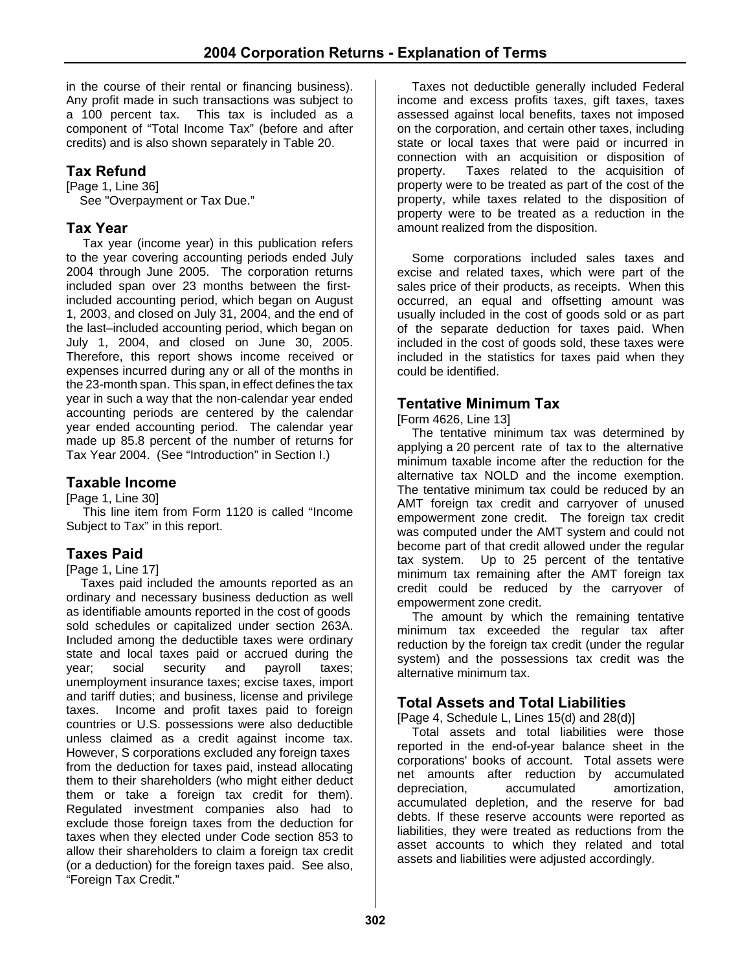in the course of their rental or financing business). Any profit made in such transactions was subject to a 100 percent tax. This tax is included as a component of "Total Income Tax" (before and after credits) and is also shown separately in Table 20.

# **Tax Refund**

[Page 1, Line 36] See "Overpayment or Tax Due."

# **Tax Year**

Tax year (income year) in this publication refers to the year covering accounting periods ended July 2004 through June 2005. The corporation returns included span over 23 months between the firstincluded accounting period, which began on August 1, 2003, and closed on July 31, 2004, and the end of the last–included accounting period, which began on July 1, 2004, and closed on June 30, 2005. Therefore, this report shows income received or expenses incurred during any or all of the months in the 23-month span. This span, in effect defines the tax year in such a way that the non-calendar year ended accounting periods are centered by the calendar year ended accounting period. The calendar year made up 85.8 percent of the number of returns for Tax Year 2004. (See "Introduction" in Section I.)

# **Taxable Income**

[Page 1, Line 30]

This line item from Form 1120 is called "Income Subject to Tax" in this report.

# **Taxes Paid**

[Page 1, Line 17]

Taxes paid included the amounts reported as an ordinary and necessary business deduction as well as identifiable amounts reported in the cost of goods sold schedules or capitalized under section 263A. Included among the deductible taxes were ordinary state and local taxes paid or accrued during the<br>year; social security and payroll taxes: year; social security and payroll taxes; unemployment insurance taxes; excise taxes, import and tariff duties; and business, license and privilege taxes. Income and profit taxes paid to foreign countries or U.S. possessions were also deductible unless claimed as a credit against income tax. However, S corporations excluded any foreign taxes from the deduction for taxes paid, instead allocating them to their shareholders (who might either deduct them or take a foreign tax credit for them). Regulated investment companies also had to exclude those foreign taxes from the deduction for taxes when they elected under Code section 853 to allow their shareholders to claim a foreign tax credit (or a deduction) for the foreign taxes paid. See also, "Foreign Tax Credit."

Taxes not deductible generally included Federal income and excess profits taxes, gift taxes, taxes assessed against local benefits, taxes not imposed on the corporation, and certain other taxes, including state or local taxes that were paid or incurred in connection with an acquisition or disposition of property. Taxes related to the acquisition of property were to be treated as part of the cost of the property, while taxes related to the disposition of property were to be treated as a reduction in the amount realized from the disposition.

Some corporations included sales taxes and excise and related taxes, which were part of the sales price of their products, as receipts. When this occurred, an equal and offsetting amount was usually included in the cost of goods sold or as part of the separate deduction for taxes paid. When included in the cost of goods sold, these taxes were included in the statistics for taxes paid when they could be identified.

# **Tentative Minimum Tax**

[Form 4626, Line 13]

The tentative minimum tax was determined by applying a 20 percent rate of tax to the alternative minimum taxable income after the reduction for the alternative tax NOLD and the income exemption. The tentative minimum tax could be reduced by an AMT foreign tax credit and carryover of unused empowerment zone credit. The foreign tax credit was computed under the AMT system and could not become part of that credit allowed under the regular tax system. Up to 25 percent of the tentative minimum tax remaining after the AMT foreign tax credit could be reduced by the carryover of empowerment zone credit.

The amount by which the remaining tentative minimum tax exceeded the regular tax after reduction by the foreign tax credit (under the regular system) and the possessions tax credit was the alternative minimum tax.

# **Total Assets and Total Liabilities**

[Page 4, Schedule L, Lines 15(d) and 28(d)]

Total assets and total liabilities were those reported in the end-of-year balance sheet in the corporations' books of account. Total assets were net amounts after reduction by accumulated depreciation, accumulated amortization, accumulated depletion, and the reserve for bad debts. If these reserve accounts were reported as liabilities, they were treated as reductions from the asset accounts to which they related and total assets and liabilities were adjusted accordingly.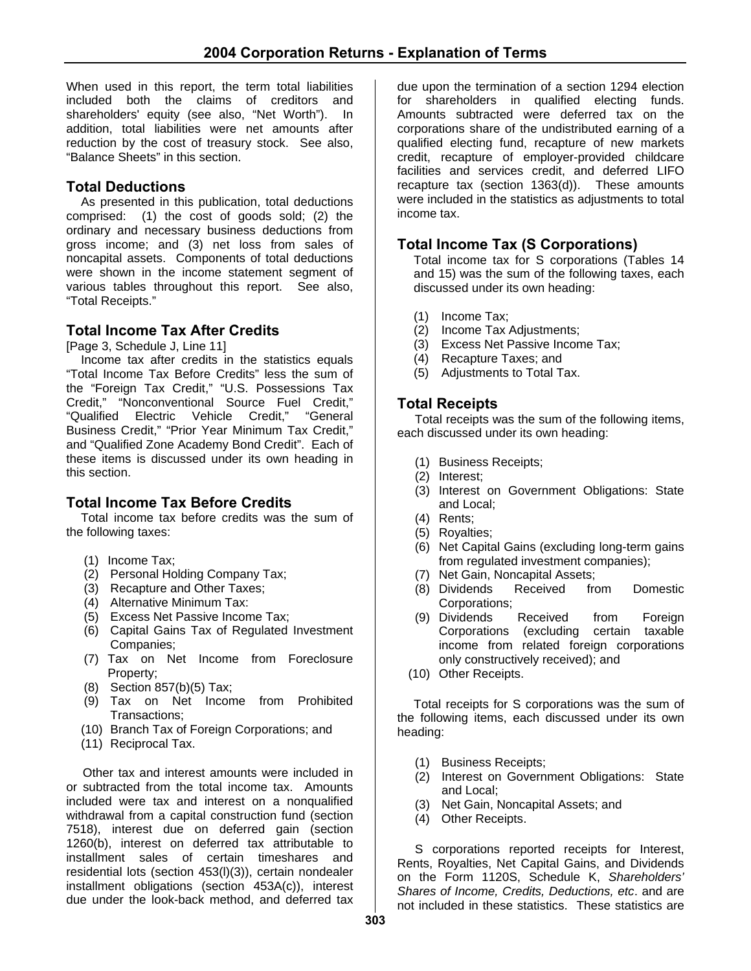When used in this report, the term total liabilities included both the claims of creditors and shareholders' equity (see also, "Net Worth"). In addition, total liabilities were net amounts after reduction by the cost of treasury stock. See also, "Balance Sheets" in this section.

### **Total Deductions**

As presented in this publication, total deductions comprised: (1) the cost of goods sold; (2) the ordinary and necessary business deductions from gross income; and (3) net loss from sales of noncapital assets. Components of total deductions were shown in the income statement segment of various tables throughout this report. See also, "Total Receipts."

# **Total Income Tax After Credits**

[Page 3, Schedule J, Line 11]

Income tax after credits in the statistics equals "Total Income Tax Before Credits" less the sum of the "Foreign Tax Credit," "U.S. Possessions Tax Credit," "Nonconventional Source Fuel Credit," "Qualified Electric Vehicle Credit," "General Business Credit," "Prior Year Minimum Tax Credit," and "Qualified Zone Academy Bond Credit". Each of these items is discussed under its own heading in this section.

# **Total Income Tax Before Credits**

Total income tax before credits was the sum of the following taxes:

- (1) Income Tax;
- (2) Personal Holding Company Tax;
- (3) Recapture and Other Taxes;
- (4) Alternative Minimum Tax:
- (5) Excess Net Passive Income Tax;
- (6) Capital Gains Tax of Regulated Investment Companies;
- (7) Tax on Net Income from Foreclosure Property;
- (8) Section 857(b)(5) Tax;
- (9) Tax on Net Income from Prohibited Transactions;
- (10) Branch Tax of Foreign Corporations; and
- (11) Reciprocal Tax.

Other tax and interest amounts were included in or subtracted from the total income tax. Amounts included were tax and interest on a nonqualified withdrawal from a capital construction fund (section 7518), interest due on deferred gain (section 1260(b), interest on deferred tax attributable to installment sales of certain timeshares and residential lots (section 453(l)(3)), certain nondealer installment obligations (section 453A(c)), interest due under the look-back method, and deferred tax

due upon the termination of a section 1294 election for shareholders in qualified electing funds. Amounts subtracted were deferred tax on the corporations share of the undistributed earning of a qualified electing fund, recapture of new markets credit, recapture of employer-provided childcare facilities and services credit, and deferred LIFO recapture tax (section 1363(d)). These amounts were included in the statistics as adjustments to total income tax.

# **Total Income Tax (S Corporations)**

Total income tax for S corporations (Tables 14 and 15) was the sum of the following taxes, each discussed under its own heading:

- (1) Income Tax;
- (2) Income Tax Adjustments;
- (3) Excess Net Passive Income Tax;
- (4) Recapture Taxes; and
- (5) Adjustments to Total Tax.

# **Total Receipts**

Total receipts was the sum of the following items, each discussed under its own heading:

- (1) Business Receipts;
- (2) Interest;
- (3) Interest on Government Obligations: State and Local;
- (4) Rents;
- (5) Royalties;
- (6) Net Capital Gains (excluding long-term gains from regulated investment companies);
- (7) Net Gain, Noncapital Assets;
- (8) Dividends Received from Domestic Corporations;
- (9) Dividends Received from Foreign Corporations (excluding certain taxable income from related foreign corporations only constructively received); and
- (10) Other Receipts.

Total receipts for S corporations was the sum of the following items, each discussed under its own heading:

- (1) Business Receipts;
- (2) Interest on Government Obligations: State and Local;
- (3) Net Gain, Noncapital Assets; and
- (4) Other Receipts.

S corporations reported receipts for Interest, Rents, Royalties, Net Capital Gains, and Dividends on the Form 1120S, Schedule K, *Shareholders' Shares of Income, Credits, Deductions, etc*. and are not included in these statistics. These statistics are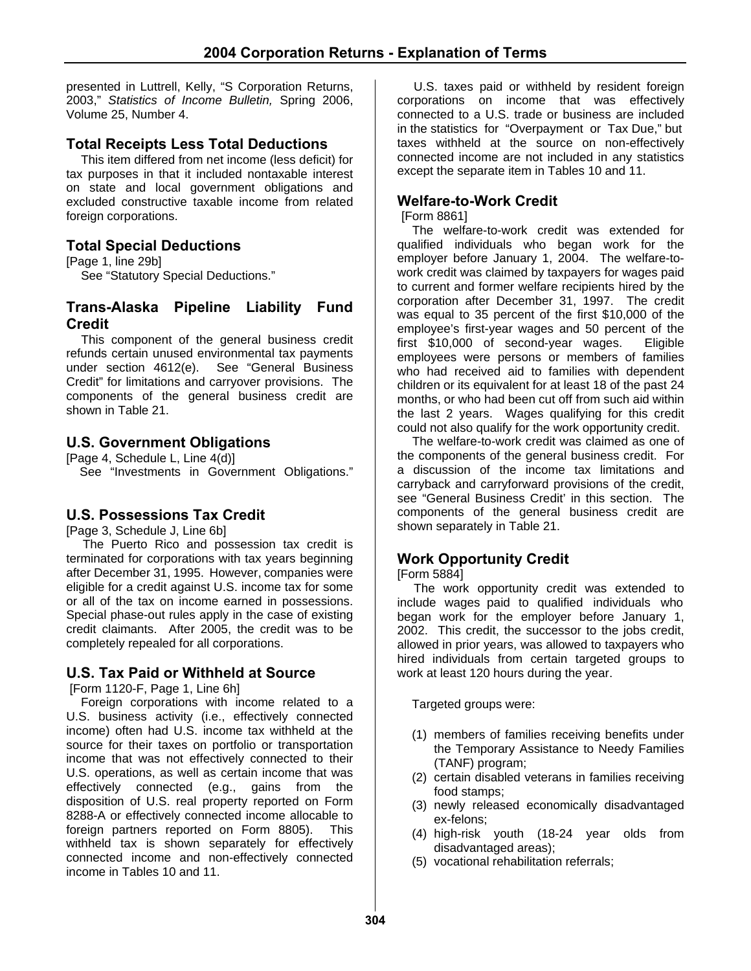presented in Luttrell, Kelly, "S Corporation Returns, 2003," *Statistics of Income Bulletin,* Spring 2006, Volume 25, Number 4.

### **Total Receipts Less Total Deductions**

This item differed from net income (less deficit) for tax purposes in that it included nontaxable interest on state and local government obligations and excluded constructive taxable income from related foreign corporations.

#### **Total Special Deductions**

[Page 1, line 29b]

See "Statutory Special Deductions."

### **Trans-Alaska Pipeline Liability Fund Credit**

This component of the general business credit refunds certain unused environmental tax payments under section 4612(e). See "General Business Credit" for limitations and carryover provisions. The components of the general business credit are shown in Table 21.

# **U.S. Government Obligations**

[Page 4, Schedule L, Line 4(d)] See "Investments in Government Obligations."

# **U.S. Possessions Tax Credit**

[Page 3, Schedule J, Line 6b]

The Puerto Rico and possession tax credit is terminated for corporations with tax years beginning after December 31, 1995. However, companies were eligible for a credit against U.S. income tax for some or all of the tax on income earned in possessions. Special phase-out rules apply in the case of existing credit claimants. After 2005, the credit was to be completely repealed for all corporations.

#### **U.S. Tax Paid or Withheld at Source**

[Form 1120-F, Page 1, Line 6h]

Foreign corporations with income related to a U.S. business activity (i.e., effectively connected income) often had U.S. income tax withheld at the source for their taxes on portfolio or transportation income that was not effectively connected to their U.S. operations, as well as certain income that was effectively connected (e.g., gains from the disposition of U.S. real property reported on Form 8288-A or effectively connected income allocable to foreign partners reported on Form 8805). This withheld tax is shown separately for effectively connected income and non-effectively connected income in Tables 10 and 11.

U.S. taxes paid or withheld by resident foreign corporations on income that was effectively connected to a U.S. trade or business are included in the statistics for "Overpayment or Tax Due," but taxes withheld at the source on non-effectively connected income are not included in any statistics except the separate item in Tables 10 and 11.

### **Welfare-to-Work Credit**

[Form 8861]

The welfare-to-work credit was extended for qualified individuals who began work for the employer before January 1, 2004. The welfare-towork credit was claimed by taxpayers for wages paid to current and former welfare recipients hired by the corporation after December 31, 1997. The credit was equal to 35 percent of the first \$10,000 of the employee's first-year wages and 50 percent of the first \$10,000 of second-year wages. Eligible employees were persons or members of families who had received aid to families with dependent children or its equivalent for at least 18 of the past 24 months, or who had been cut off from such aid within the last 2 years. Wages qualifying for this credit could not also qualify for the work opportunity credit.

The welfare-to-work credit was claimed as one of the components of the general business credit. For a discussion of the income tax limitations and carryback and carryforward provisions of the credit, see "General Business Credit' in this section. The components of the general business credit are shown separately in Table 21.

# **Work Opportunity Credit**

#### [Form 5884]

The work opportunity credit was extended to include wages paid to qualified individuals who began work for the employer before January 1, 2002. This credit, the successor to the jobs credit, allowed in prior years, was allowed to taxpayers who hired individuals from certain targeted groups to work at least 120 hours during the year.

Targeted groups were:

- (1) members of families receiving benefits under the Temporary Assistance to Needy Families (TANF) program;
- (2) certain disabled veterans in families receiving food stamps;
- (3) newly released economically disadvantaged ex-felons;
- (4) high-risk youth (18-24 year olds from disadvantaged areas);
- (5) vocational rehabilitation referrals;